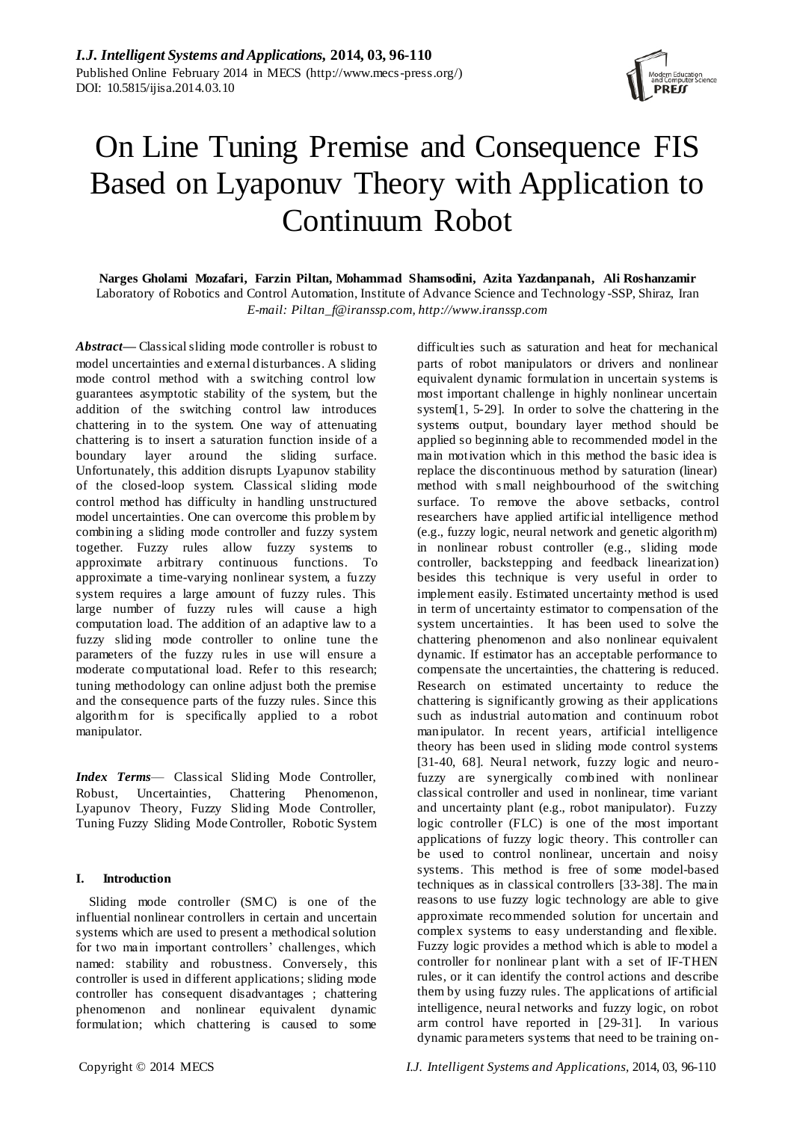

# On Line Tuning Premise and Consequence FIS Based on Lyaponuv Theory with Application to Continuum Robot

**Narges Gholami Mozafari, Farzin Piltan, Mohammad Shamsodini, Azita Yazdanpanah, Ali Roshanzamir** Laboratory of Robotics and Control Automation, Institute of Advance Science and Technology -SSP, Shiraz, Iran *E-mail: [Piltan\\_f@iranssp.com,](mailto:Piltan_f@iranssp.com) [http://www.iranssp.com](http://www.iranssp.com/)*

*Abstract***—** Classical sliding mode controller is robust to model uncertainties and external disturbances. A sliding mode control method with a switching control low guarantees asymptotic stability of the system, but the addition of the switching control law introduces chattering in to the system. One way of attenuating chattering is to insert a saturation function inside of a boundary layer around the sliding surface. Unfortunately, this addition disrupts Lyapunov stability of the closed-loop system. Classical sliding mode control method has difficulty in handling unstructured model uncertainties. One can overcome this problem by combining a sliding mode controller and fuzzy system together. Fuzzy rules allow fuzzy systems to approximate arbitrary continuous functions. To approximate a time-varying nonlinear system, a fuzzy system requires a large amount of fuzzy rules. This large number of fuzzy rules will cause a high computation load. The addition of an adaptive law to a fuzzy sliding mode controller to online tune the parameters of the fuzzy rules in use will ensure a moderate computational load. Refer to this research; tuning methodology can online adjust both the premise and the consequence parts of the fuzzy rules. Since this algorithm for is specifically applied to a robot manipulator.

*Index Terms*— Classical Sliding Mode Controller, Robust, Uncertainties, Chattering Phenomenon, Lyapunov Theory, Fuzzy Sliding Mode Controller, Tuning Fuzzy Sliding Mode Controller, Robotic System

# **I. Introduction**

Sliding mode controller (SMC) is one of the influential nonlinear controllers in certain and uncertain systems which are used to present a methodical solution for two main important controllers' challenges, which named: stability and robustness. Conversely, this controller is used in different applications; sliding mode controller has consequent disadvantages ; chattering phenomenon and nonlinear equivalent dynamic formulation; which chattering is caused to some

equivalent dynamic formulation in uncertain systems is most important challenge in highly nonlinear uncertain system[1, 5-29]. In order to solve the chattering in the systems output, boundary layer method should be applied so beginning able to recommended model in the main motivation which in this method the basic idea is replace the discontinuous method by saturation (linear) method with s mall neighbourhood of the switching surface. To remove the above setbacks, control researchers have applied artificial intelligence method (e.g., fuzzy logic, neural network and genetic algorithm) in nonlinear robust controller (e.g., sliding mode controller, backstepping and feedback linearization) besides this technique is very useful in order to implement easily. Estimated uncertainty method is used in term of uncertainty estimator to compensation of the system uncertainties. It has been used to solve the chattering phenomenon and also nonlinear equivalent dynamic. If estimator has an acceptable performance to compensate the uncertainties, the chattering is reduced. Research on estimated uncertainty to reduce the chattering is significantly growing as their applications such as industrial automation and continuum robot manipulator. In recent years, artificial intelligence theory has been used in sliding mode control systems [31-40, 68]. Neural network, fuzzy logic and neurofuzzy are synergically combined with nonlinear classical controller and used in nonlinear, time variant and uncertainty plant (e.g., robot manipulator). Fuzzy logic controller (FLC) is one of the most important applications of fuzzy logic theory. This controller can be used to control nonlinear, uncertain and noisy systems. This method is free of some model-based techniques as in classical controllers [33-38]. The main reasons to use fuzzy logic technology are able to give approximate recommended solution for uncertain and complex systems to easy understanding and flexible. Fuzzy logic provides a method which is able to model a controller for nonlinear plant with a set of IF-THEN rules, or it can identify the control actions and describe them by using fuzzy rules. The applications of artificial intelligence, neural networks and fuzzy logic, on robot arm control have reported in [29-31]. In various dynamic parameters systems that need to be training on-

difficulties such as saturation and heat for mechanical parts of robot manipulators or drivers and nonlinear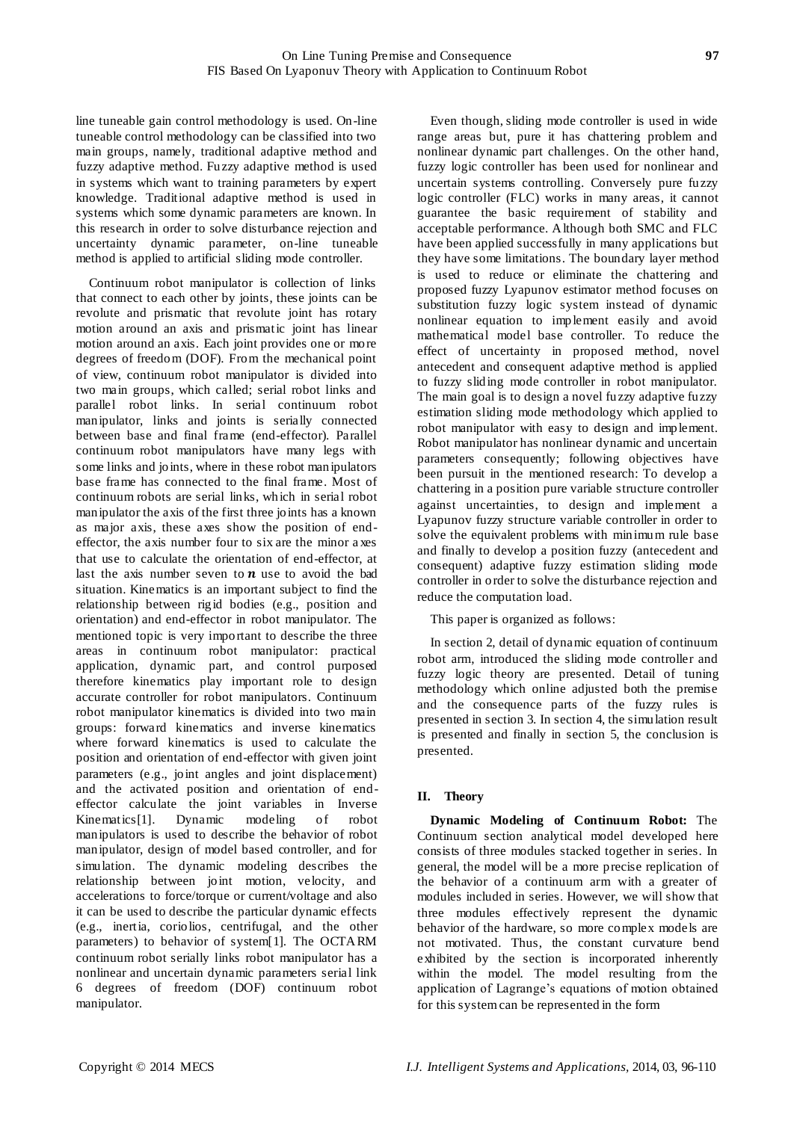line tuneable gain control methodology is used. On-line tuneable control methodology can be classified into two main groups, namely, traditional adaptive method and fuzzy adaptive method. Fuzzy adaptive method is used in systems which want to training parameters by expert knowledge. Traditional adaptive method is used in systems which some dynamic parameters are known. In this research in order to solve disturbance rejection and uncertainty dynamic parameter, on-line tuneable method is applied to artificial sliding mode controller.

Continuum robot manipulator is collection of links that connect to each other by joints, these joints can be revolute and prismatic that revolute joint has rotary motion around an axis and prismatic joint has linear motion around an axis. Each joint provides one or more degrees of freedom (DOF). From the mechanical point of view, continuum robot manipulator is divided into two main groups, which called; serial robot links and parallel robot links. In serial continuum robot manipulator, links and joints is serially connected between base and final frame (end-effector). Parallel continuum robot manipulators have many legs with some links and joints, where in these robot manipulators base frame has connected to the final frame. Most of continuum robots are serial links, which in serial robot manipulator the axis of the first three joints has a known as major axis, these axes show the position of endeffector, the axis number four to six are the minor a xes that use to calculate the orientation of end-effector, at last the axis number seven to  $n$  use to avoid the bad situation. Kinematics is an important subject to find the relationship between rigid bodies (e.g., position and orientation) and end-effector in robot manipulator. The mentioned topic is very important to describe the three areas in continuum robot manipulator: practical application, dynamic part, and control purposed therefore kinematics play important role to design accurate controller for robot manipulators. Continuum robot manipulator kinematics is divided into two main groups: forward kinematics and inverse kinematics where forward kinematics is used to calculate the position and orientation of end-effector with given joint parameters (e.g., joint angles and joint displacement) and the activated position and orientation of endeffector calculate the joint variables in Inverse Kinematics[1]. Dynamic modeling of robot manipulators is used to describe the behavior of robot manipulator, design of model based controller, and for simulation. The dynamic modeling describes the relationship between joint motion, velocity, and accelerations to force/torque or current/voltage and also it can be used to describe the particular dynamic effects (e.g., inertia, coriolios, centrifugal, and the other parameters) to behavior of system[1]. The OCTARM continuum robot serially links robot manipulator has a nonlinear and uncertain dynamic parameters serial link 6 degrees of freedom (DOF) continuum robot manipulator.

Even though, sliding mode controller is used in wide range areas but, pure it has chattering problem and nonlinear dynamic part challenges. On the other hand, fuzzy logic controller has been used for nonlinear and uncertain systems controlling. Conversely pure fuzzy logic controller (FLC) works in many areas, it cannot guarantee the basic requirement of stability and acceptable performance. Although both SMC and FLC have been applied successfully in many applications but they have some limitations. The boundary layer method is used to reduce or eliminate the chattering and proposed fuzzy Lyapunov estimator method focuses on substitution fuzzy logic system instead of dynamic nonlinear equation to implement easily and avoid mathematical model base controller. To reduce the effect of uncertainty in proposed method, novel antecedent and consequent adaptive method is applied to fuzzy sliding mode controller in robot manipulator. The main goal is to design a novel fuzzy adaptive fuzzy estimation sliding mode methodology which applied to robot manipulator with easy to design and implement. Robot manipulator has nonlinear dynamic and uncertain parameters consequently; following objectives have been pursuit in the mentioned research: To develop a chattering in a position pure variable structure controller against uncertainties, to design and implement a Lyapunov fuzzy structure variable controller in order to solve the equivalent problems with minimum rule base and finally to develop a position fuzzy (antecedent and consequent) adaptive fuzzy estimation sliding mode controller in order to solve the disturbance rejection and reduce the computation load.

This paper is organized as follows:

In section 2, detail of dynamic equation of continuum robot arm, introduced the sliding mode controller and fuzzy logic theory are presented. Detail of tuning methodology which online adjusted both the premise and the consequence parts of the fuzzy rules is presented in section 3. In section 4, the simulation result is presented and finally in section 5, the conclusion is presented.

# **II. Theory**

**Dynamic Modeling of Continuum Robot:** The Continuum section analytical model developed here consists of three modules stacked together in series. In general, the model will be a more precise replication of the behavior of a continuum arm with a greater of modules included in series. However, we will show that three modules effectively represent the dynamic behavior of the hardware, so more complex models are not motivated. Thus, the constant curvature bend exhibited by the section is incorporated inherently within the model. The model resulting from the application of Lagrange's equations of motion obtained for this system can be represented in the form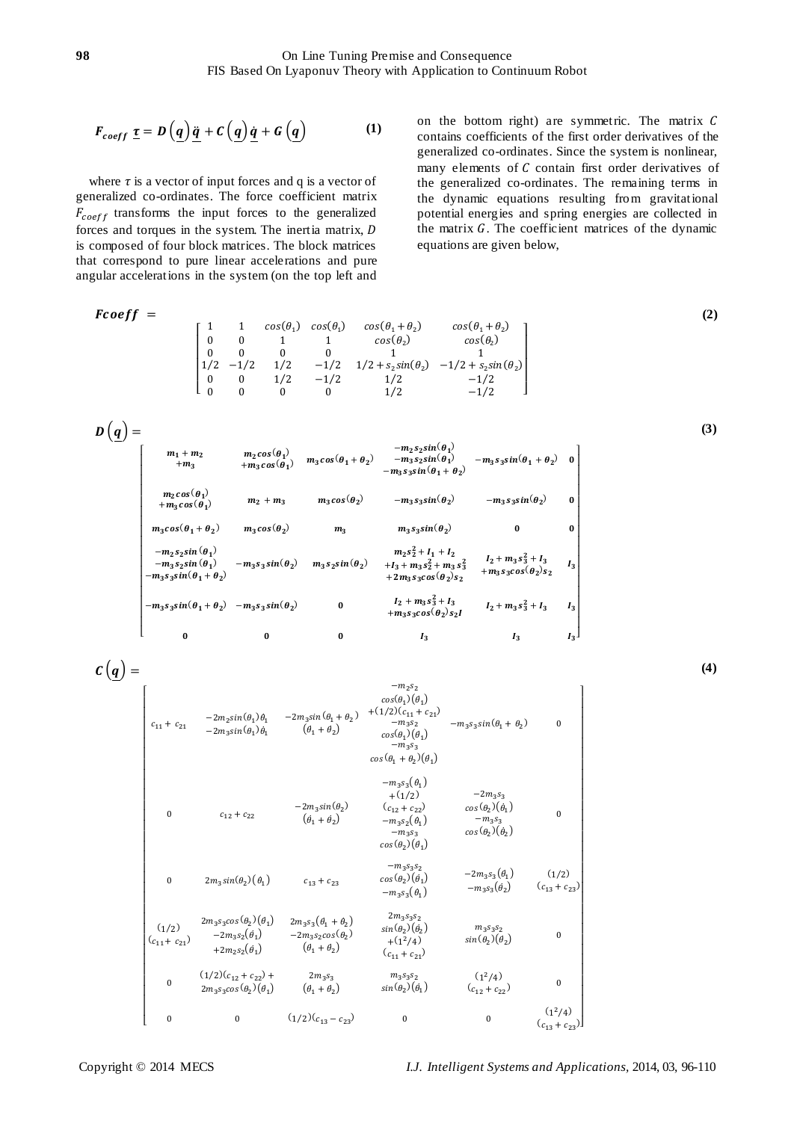$$
F_{coeff} \underline{\tau} = D\left(\underline{q}\right)\underline{\ddot{q}} + C\left(\underline{q}\right)\underline{\dot{q}} + G\left(\underline{q}\right) \tag{1}
$$

where  $\tau$  is a vector of input forces and q is a vector of generalized co-ordinates. The force coefficient matrix  $F_{coeff}$  transforms the input forces to the generalized forces and torques in the system. The inertia matrix, is composed of four block matrices. The block matrices that correspond to pure linear accelerations and pure angular accelerations in the system (on the top left and on the bottom right) are symmetric. The matrix  $C$ contains coefficients of the first order derivatives of the generalized co-ordinates. Since the system is nonlinear, many elements of  $C$  contain first order derivatives of the generalized co-ordinates. The remaining terms in the dynamic equations resulting from gravitational potential energies and spring energies are collected in the matrix  $G$ . The coefficient matrices of the dynamic equations are given below,

$$
\text{Fcoeff} = \begin{bmatrix} 1 & 1 & \cos(\theta_1) & \cos(\theta_1 + \theta_2) & \cos(\theta_1 + \theta_2) \\ 0 & 0 & 1 & 1 & \cos(\theta_2) & \cos(\theta_2) \\ 0 & 0 & 0 & 0 & 1 & 1 \\ 1/2 & -1/2 & 1/2 & -1/2 & 1/2 + s_2 \sin(\theta_2) & -1/2 + s_2 \sin(\theta_2) \\ 0 & 0 & 1/2 & -1/2 & 1/2 & -1/2 \\ 0 & 0 & 0 & 0 & 1/2 & -1/2 \end{bmatrix} \tag{2}
$$

$$
D (q) = \n\begin{bmatrix}\nm_1 + m_2 & m_2 \cos(\theta_1) & m_3 \cos(\theta_1 + \theta_2) & -m_2 s_2 \sin(\theta_1) & -m_3 s_3 \sin(\theta_1 + \theta_2) & 0 \\
+m_3 & +m_3 \cos(\theta_1) & m_3 \cos(\theta_1 + \theta_2) & -m_3 s_3 \sin(\theta_1 + \theta_2) & -m_3 s_3 \sin(\theta_1 + \theta_2) & 0 \\
+m_2 \cos(\theta_1) & m_2 + m_3 & m_3 \cos(\theta_2) & -m_3 s_3 \sin(\theta_2) & -m_3 s_3 \sin(\theta_2) & 0 \\
m_3 \cos(\theta_1 + \theta_2) & m_3 \cos(\theta_2) & m_3 & m_3 s_3 \sin(\theta_2) & 0 & 0 \\
-m_2 s_2 \sin(\theta_1) & -m_3 s_3 \sin(\theta_1) & -m_3 s_3 \sin(\theta_2) & m_3 s_2 \sin(\theta_2) & +I_3 + m_3 s_2^2 + m_3 s_3^2 & I_2 + m_3 s_3^2 + I_3 & I_3 \\
-m_3 s_3 \sin(\theta_1 + \theta_2) & -m_3 s_3 \sin(\theta_2) & 0 & I_2 + m_3 s_3^2 + I_3 & I_2 + m_3 s_3^2 + I_3 & I_3 \\
-m_3 s_3 \sin(\theta_1 + \theta_2) & -m_3 s_3 \sin(\theta_2) & 0 & I_2 + m_3 s_3^2 + I_3 & I_2 + m_3 s_3^2 + I_3 & I_3 \\
m_3 & 0 & 0 & I_3 & I_3 & I_3\n\end{bmatrix}
$$

**(4)**

**(3)**

$$
C(q) = \n\begin{bmatrix}\n& -m_2 s_2 & cos(\theta_1)(\theta_1) & -m_2 s_2 \\
& cos(\theta_1)(\theta_1) & -2m_2 sin(\theta_1)\theta_1 & -2m_3 sin(\theta_1 + \theta_2) & +(1/2)(c_{11} + c_{21}) & -m_3 s_3 sin(\theta_1 + \theta_2) & 0 \\
& cos(\theta_1 + \theta_2) & -m_3 s_3 & -cos(\theta_1)(\theta_1) & -m_3 s_3 sin(\theta_1 + \theta_2) & 0 \\
& -m_3 s_3 & -2m_3 sin(\theta_2) & -m_3 s_3 & -2m_3 s_3 \\
& cos(\theta_1 + \theta_2)(\theta_1) & -m_3 s_3 & 0 & -m_3 s_3 \\
& & -2m_3 sin(\theta_2) & c_{12} + c_{22} & cos(\theta_2)(\theta_1) & -m_3 s_3 \\
& & -m_3 s_3 & -m_3 s_3 & -m_3 s_3 \\
& & -m_3 s_3 & -m_3 s_3 & -m_3 s_3 \\
& & -m_3 s_3 & -m_3 s_3 & -2m_3 s_3 & -2m_3 s_3 & -2m_3 s_3 \\
& & -m_3 s_3 & -2m_3 s_3 & -2m_3 s_3 & -2m_3 s_3 & -2m_3 s_3 & -2m_3 s_3 \\
& & & -m_3 s_3 & -2m_3 s_3 & -2m_3 s_3 & -2m_3 s_3 & -2m_3 s_3 & -2m_3 s_3 & -2m_3 s_3 & -2m_3 s_3 & -2m_3 s_3 & -2m_3 s_3 & -2m_3 s_3 & -2m_3 s_3 & -2m_3 s_3 & -2m_3 s_3 & -2m_3 s_3 & -2m_3 s_3 & -2m_3 s_3 & -2m_3 s_3 & -2m_3 s_3 & -2m_3 s_3 & -2m_3 s_3 & -2m_3 s_3 & -2m_3 s_3 & -2m_3 s_3 & -2m_3 s_3 & -2m_3 s_3 & -2m_3 s_3 & -2m_3 s_3 & -2m_3 s_3 & -2m_3 s_3 & -2m_3 s_3 & -2m_3 s_3 & -2m_3 s_3 & -2m_
$$

 $\sim$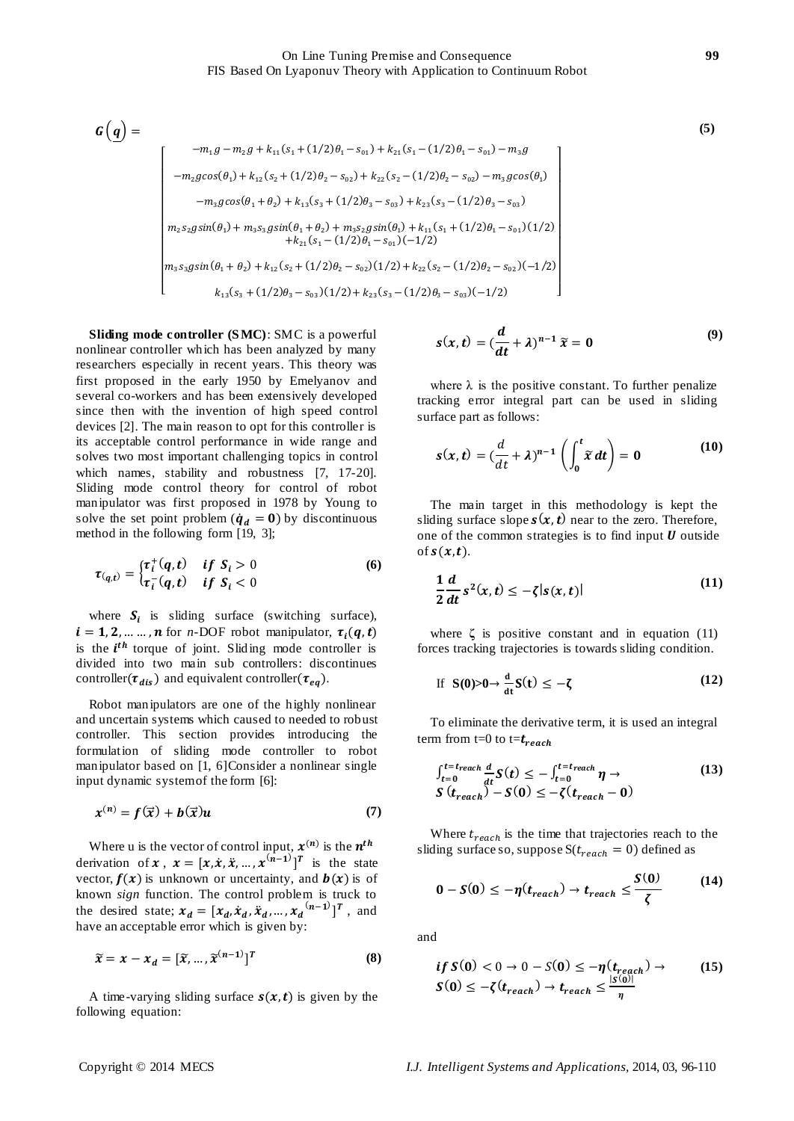$$
G(q) = \n-m_1 g - m_2 g + k_{11} (s_1 + (1/2)\theta_1 - s_{01}) + k_{21} (s_1 - (1/2)\theta_1 - s_{01}) - m_3 g
$$
\n
$$
-m_2 g \cos(\theta_1) + k_{12} (s_2 + (1/2)\theta_2 - s_{02}) + k_{22} (s_2 - (1/2)\theta_2 - s_{02}) - m_3 g \cos(\theta_1)
$$
\n
$$
-m_3 g \cos(\theta_1 + \theta_2) + k_{13} (s_3 + (1/2)\theta_3 - s_{03}) + k_{23} (s_3 - (1/2)\theta_3 - s_{03})
$$
\n
$$
m_2 s_2 g \sin(\theta_1) + m_3 s_3 g \sin(\theta_1 + \theta_2) + m_3 s_2 g \sin(\theta_1) + k_{11} (s_1 + (1/2)\theta_1 - s_{01}) (1/2)
$$
\n
$$
+ k_{21} (s_1 - (1/2)\theta_1 - s_{01}) (-1/2)
$$
\n
$$
m_3 s_3 g \sin(\theta_1 + \theta_2) + k_{12} (s_2 + (1/2)\theta_2 - s_{02}) (1/2) + k_{22} (s_2 - (1/2)\theta_2 - s_{02}) (-1/2)
$$
\n
$$
k_{13} (s_3 + (1/2)\theta_3 - s_{03}) (1/2) + k_{23} (s_3 - (1/2)\theta_3 - s_{03}) (-1/2)
$$
\n(1)

**Sliding mode controller (S MC)**: SMC is a powerful nonlinear controller which has been analyzed by many researchers especially in recent years. This theory was first proposed in the early 1950 by Emelyanov and several co-workers and has been extensively developed since then with the invention of high speed control devices [2]. The main reason to opt for this controller is its acceptable control performance in wide range and solves two most important challenging topics in control which names, stability and robustness [7, 17-20]. Sliding mode control theory for control of robot manipulator was first proposed in 1978 by Young to solve the set point problem ( $\dot{q}_d = 0$ ) by discontinuous method in the following form [19, 3];

$$
\tau_{(q,t)} = \begin{cases} \tau_i^+(q,t) & \text{if } S_i > 0\\ \tau_i^-(q,t) & \text{if } S_i < 0 \end{cases} \tag{6}
$$

where  $S_i$  is sliding surface (switching surface),  $i = 1, 2, \dots, n$  for *n*-DOF robot manipulator,  $\tau_i(q, t)$ is the  $i^{th}$  torque of joint. Sliding mode controller is divided into two main sub controllers: discontinues controller( $\tau_{dis}$ ) and equivalent controller( $\tau_{eq}$ ).

Robot manipulators are one of the highly nonlinear and uncertain systems which caused to needed to robust controller. This section provides introducing the formulation of sliding mode controller to robot manipulator based on [1, 6]Consider a nonlinear single input dynamic system of the form [6]:

$$
x^{(n)} = f(\vec{x}) + b(\vec{x})u \tag{7}
$$

Where u is the vector of control input,  $x^{(n)}$  is the  $n^t$ derivation of  $x$ ,  $x = [x, \dot{x}, \ddot{x}, \dots, x^{(\hat{n}-1)}]^T$  is the state vector,  $f(x)$  is unknown or uncertainty, and  $b(x)$  is of known *sign* function. The control problem is truck to the desired state;  $x_d = [x_d, \dot{x}_d, \dot{x}_d, ..., x_d^{(n-1)}]^T$ , and have an acceptable error which is given by:

$$
\widetilde{x} = x - x_d = [\widetilde{x}, \dots, \widetilde{x}^{(n-1)}]^T
$$
 (8)

A time-varying sliding surface  $s(x, t)$  is given by the following equation:

$$
s(x,t) = \left(\frac{d}{dt} + \lambda\right)^{n-1} \widetilde{x} = 0 \tag{9}
$$

where  $\lambda$  is the positive constant. To further penalize tracking error integral part can be used in sliding surface part as follows:

$$
s(x,t) = \left(\frac{d}{dt} + \lambda\right)^{n-1} \left(\int_0^t \widetilde{x} \, dt\right) = 0 \tag{10}
$$

The main target in this methodology is kept the sliding surface slope  $s(x, t)$  near to the zero. Therefore, one of the common strategies is to find input  $U$  outside of  $s(x,t)$ .

$$
\frac{1}{2}\frac{d}{dt}s^2(x,t) \le -\zeta|s(x,t)|\tag{11}
$$

where  $\zeta$  is positive constant and in equation (11) forces tracking trajectories is towards sliding condition.

If 
$$
S(0) > 0 \rightarrow \frac{d}{dt} S(t) \le -\zeta
$$
 (12)

To eliminate the derivative term, it is used an integral term from t=0 to t= $t_{reach}$ 

$$
\int_{t=0}^{t=t_{reach}} \frac{d}{dt} S(t) \le - \int_{t=0}^{t=t_{reach}} \eta \to
$$
\n
$$
S(t_{reach}) - S(0) \le -\zeta(t_{reach} - 0)
$$
\n(13)

Where  $t_{reach}$  is the time that trajectories reach to the sliding surface so, suppose  $S(t_{reach} = 0)$  defined as

$$
0 - S(0) \le -\eta(t_{reach}) \to t_{reach} \le \frac{S(0)}{\zeta}
$$
 (14)

and

$$
if S(0) < 0 \to 0 - S(0) \le -\eta(t_{reach}) \to (15)
$$
  

$$
S(0) \le -\zeta(t_{reach}) \to t_{reach} \le \frac{|S(0)|}{\eta}
$$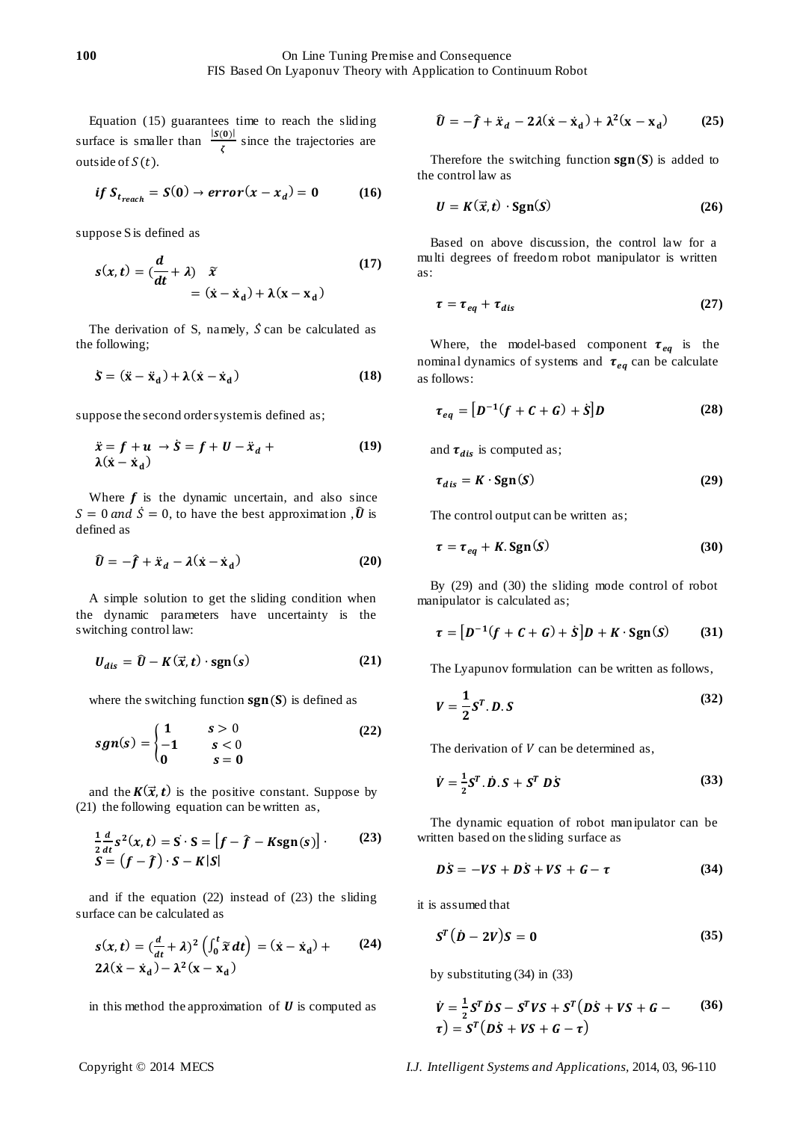Equation (15) guarantees time to reach the sliding surface is smaller than  $\frac{|S(0)|}{\tau}$  $rac{1}{\zeta}$  since the trajectories are outside of  $S(t)$ .

$$
if S_{t_{reach}} = S(0) \rightarrow error(x - x_d) = 0 \qquad (16)
$$

suppose S is defined as

$$
s(x,t) = \left(\frac{d}{dt} + \lambda\right) \quad \tilde{x}
$$
  
=  $(\dot{x} - \dot{x}_d) + \lambda(x - x_d)$  (17)

The derivation of S, namely,  $\dot{S}$  can be calculated as the following;

$$
\dot{S} = (\ddot{x} - \ddot{x}_d) + \lambda(\dot{x} - \dot{x}_d)
$$
 (18)

suppose the second order system is defined as;

$$
\ddot{x} = f + u \rightarrow \dot{S} = f + U - \ddot{x}_d + \lambda(\dot{x} - \dot{x}_d)
$$
 (19)

Where  $f$  is the dynamic uncertain, and also since  $S = 0$  and  $\dot{S} = 0$ , to have the best approximation ,  $\hat{U}$  is defined as

$$
\hat{U} = -\hat{f} + \ddot{x}_d - \lambda(\dot{x} - \dot{x}_d)
$$
 (20)

A simple solution to get the sliding condition when the dynamic parameters have uncertainty is the switching control law:

$$
U_{dis} = \hat{U} - K(\vec{x}, t) \cdot \text{sgn}(s) \tag{21}
$$

where the switching function  $sgn(S)$  is defined as

$$
sgn(s) = \begin{cases} 1 & s > 0 \\ -1 & s < 0 \\ 0 & s = 0 \end{cases}
$$
 (22)

and the  $K(\vec{x}, t)$  is the positive constant. Suppose by (21) the following equation can be written as,

$$
\frac{1}{2}\frac{d}{dt}s^{2}(x,t) = S \cdot S = [f - \hat{f} - Ksgn(s)] \cdot (23)
$$
  

$$
S = (f - \hat{f}) \cdot S - K|S|
$$

and if the equation (22) instead of (23) the sliding surface can be calculated as

$$
s(x,t) = \left(\frac{d}{dt} + \lambda\right)^2 \left(\int_0^t \widetilde{x} dt\right) = (\dot{x} - \dot{x}_d) + (24)
$$
  
2 $\lambda(\dot{x} - \dot{x}_d) - \lambda^2(x - x_d)$ 

in this method the approximation of  $U$  is computed as

$$
\hat{U} = -\hat{f} + \ddot{x}_d - 2\lambda(\dot{x} - \dot{x}_d) + \lambda^2(x - x_d)
$$
 (25)

Therefore the switching function  $sgn(S)$  is added to the control law as

$$
U = K(\vec{x}, t) \cdot \text{Sgn}(S) \tag{26}
$$

Based on above discussion, the control law for a multi degrees of freedom robot manipulator is written as:

$$
\tau = \tau_{eq} + \tau_{dis} \tag{27}
$$

Where, the model-based component  $\tau_{eq}$  is the nominal dynamics of systems and  $\tau_{eq}$  can be calculate as follows:

$$
\tau_{eq} = [D^{-1}(f + C + G) + S]D \qquad (28)
$$

and  $\tau_{dis}$  is computed as;

$$
\tau_{dis} = K \cdot \text{Sgn}(S) \tag{29}
$$

The control output can be written as;

$$
\tau = \tau_{eq} + K \cdot \text{Sgn}(S) \tag{30}
$$

By (29) and (30) the sliding mode control of robot manipulator is calculated as;

$$
\tau = [D^{-1}(f + C + G) + S]D + K \cdot \text{Sgn}(S) \tag{31}
$$

The Lyapunov formulation can be written as follows,

$$
V = \frac{1}{2}S^T \cdot D \cdot S \tag{32}
$$

The derivation of  $V$  can be determined as,

$$
\dot{V} = \frac{1}{2}S^T \cdot \dot{D} \cdot S + S^T \cdot D\dot{S} \tag{33}
$$

The dynamic equation of robot manipulator can be written based on the sliding surface as

$$
D\dot{S} = -VS + D\dot{S} + VS + G - \tau \tag{34}
$$

it is assumed that

$$
S^T(D-2V)S=0
$$
 (35)

by substituting (34) in (33)

$$
\dot{V} = \frac{1}{2}S^{T}\dot{D}S - S^{T}VS + S^{T}(D\dot{S} + VS + G - \tau)
$$
  
\n
$$
\tau) = S^{T}(D\dot{S} + VS + G - \tau)
$$
\n(36)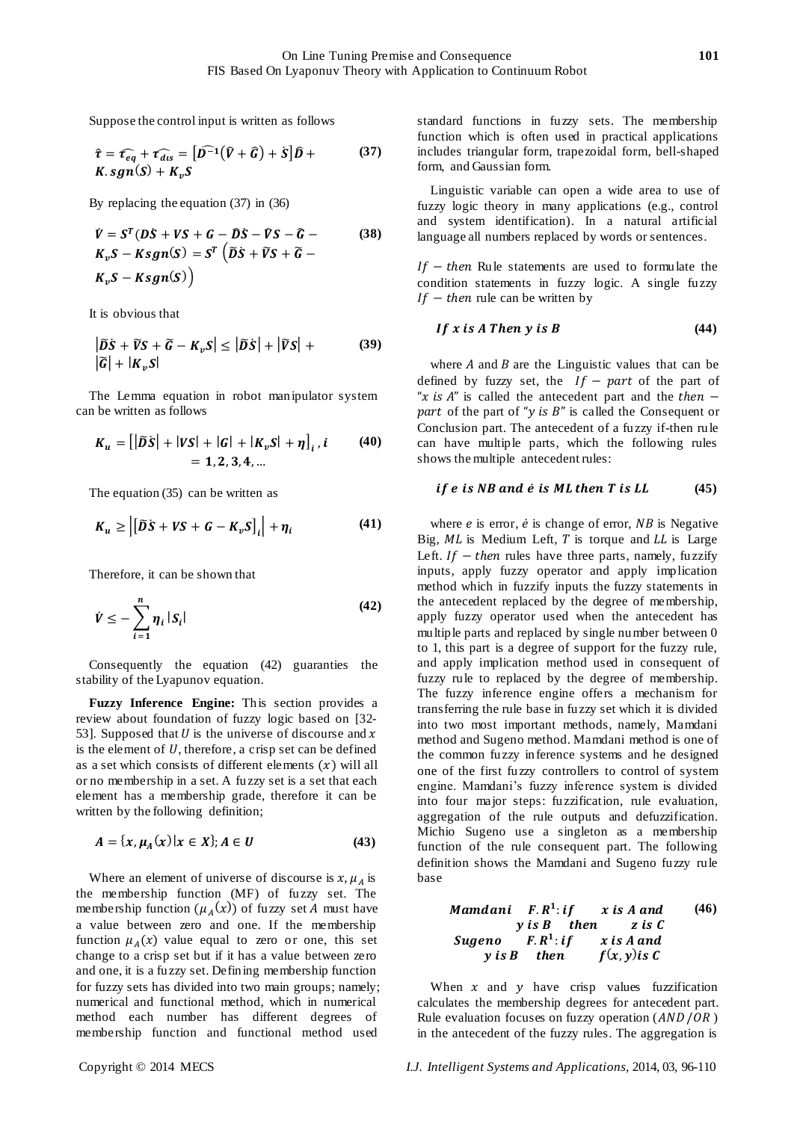Suppose the control input is written as follows

$$
\hat{\tau} = \hat{\tau_{eq}} + \hat{\tau_{dis}} = [\hat{D^{-1}}(\hat{V} + \hat{G}) + S]\hat{D} +
$$
  
K.sgn(S) + K<sub>v</sub>S (37)

By replacing the equation (37) in (36)

$$
\dot{V} = S^{T} (DS + VS + G - \hat{D}S - \hat{V}S - \hat{G} - K_{v}S - Ksgn(S) = S^{T} (\tilde{D}S + \tilde{V}S + \tilde{G} - K_{v}S - Ksgn(S))
$$
\n(38)

It is obvious that

$$
\left| \widetilde{D} \dot{S} + \widetilde{V} S + \widetilde{G} - K_{\nu} S \right| \le \left| \widetilde{D} \dot{S} \right| + \left| \widetilde{V} S \right| + \tag{39}
$$

$$
\left| \widetilde{G} \right| + \left| K_{\nu} S \right|
$$

The Lemma equation in robot manipulator system can be written as follows

$$
K_u = [|\tilde{D}S| + |VS| + |G| + |K_vS| + \eta]_i, i \qquad (40)
$$
  
= 1, 2, 3, 4, ...

The equation (35) can be written as

$$
K_u \ge \left| \left[ \widetilde{D}S + VS + G - K_v S \right]_i \right| + \eta_i \tag{41}
$$

Therefore, it can be shown that

$$
\dot{V} \leq -\sum_{i=1}^{n} \eta_i |S_i| \tag{42}
$$

Consequently the equation (42) guaranties the stability of the Lyapunov equation.

**Fuzzy Inference Engine:** This section provides a review about foundation of fuzzy logic based on [32- 53]. Supposed that  $U$  is the universe of discourse and  $x$ is the element of  $U$ , therefore, a crisp set can be defined as a set which consists of different elements  $(x)$  will all or no membership in a set. A fuzzy set is a set that each element has a membership grade, therefore it can be written by the following definition;

$$
A = \{x, \mu_A(x) | x \in X\}; A \in U
$$
 (43)

Where an element of universe of discourse is  $x, \mu_A$  is the membership function (MF) of fuzzy set. The membership function  $(\mu_A(x))$  of fuzzy set A must have a value between zero and one. If the membership function  $\mu_A(x)$  value equal to zero or one, this set change to a crisp set but if it has a value between zero and one, it is a fuzzy set. Defining membership function for fuzzy sets has divided into two main groups; namely; numerical and functional method, which in numerical method each number has different degrees of membership function and functional method used

standard functions in fuzzy sets. The membership function which is often used in practical applications includes triangular form, trapezoidal form, bell-shaped form, and Gaussian form.

Linguistic variable can open a wide area to use of fuzzy logic theory in many applications (e.g., control and system identification). In a natural artificial language all numbers replaced by words or sentences.

 $If - then$  Rule statements are used to formulate the condition statements in fuzzy logic. A single fuzzy If – then rule can be written by

$$
If x is A Then y is B \tag{44}
$$

where  $A$  and  $B$  are the Linguistic values that can be defined by fuzzy set, the  $If - part$  of the part of "x is A" is called the antecedent part and the then  $$ part of the part of "y is  $B$ " is called the Consequent or Conclusion part. The antecedent of a fuzzy if-then rule can have multiple parts, which the following rules shows the multiple antecedent rules:

#### *if e is NB and*  $\dot{e}$  *is ML then T is LL*  $(45)$

where  $e$  is error,  $\dot{e}$  is change of error,  $NB$  is Negative Big,  $ML$  is Medium Left,  $T$  is torque and  $LL$  is Large Left. If  $-$  then rules have three parts, namely, fuzzify inputs, apply fuzzy operator and apply implication method which in fuzzify inputs the fuzzy statements in the antecedent replaced by the degree of membership, apply fuzzy operator used when the antecedent has multiple parts and replaced by single number between 0 to 1, this part is a degree of support for the fuzzy rule, and apply implication method used in consequent of fuzzy rule to replaced by the degree of membership. The fuzzy inference engine offers a mechanism for transferring the rule base in fuzzy set which it is divided into two most important methods, namely, Mamdani method and Sugeno method. Mamdani method is one of the common fuzzy inference systems and he designed one of the first fuzzy controllers to control of system engine. Mamdani's fuzzy inference system is divided into four major steps: fuzzification, rule evaluation, aggregation of the rule outputs and defuzzification. Michio Sugeno use a singleton as a membership function of the rule consequent part. The following definition shows the Mamdani and Sugeno fuzzy rule base

| Mamdani    | $F.R^1$ : if | $x$ is $A$ and   | $(46)$ |
|------------|--------------|------------------|--------|
| $y$ is $B$ | then         | $z$ is $C$       |        |
| Sugeno     | $F.R^1$ : if | $x$ is $A$ and   |        |
| $y$ is $B$ | then         | $f(x, y)$ is $C$ |        |

When  $x$  and  $y$  have crisp values fuzzification calculates the membership degrees for antecedent part. Rule evaluation focuses on fuzzy operation  $(AND/OR)$ in the antecedent of the fuzzy rules. The aggregation is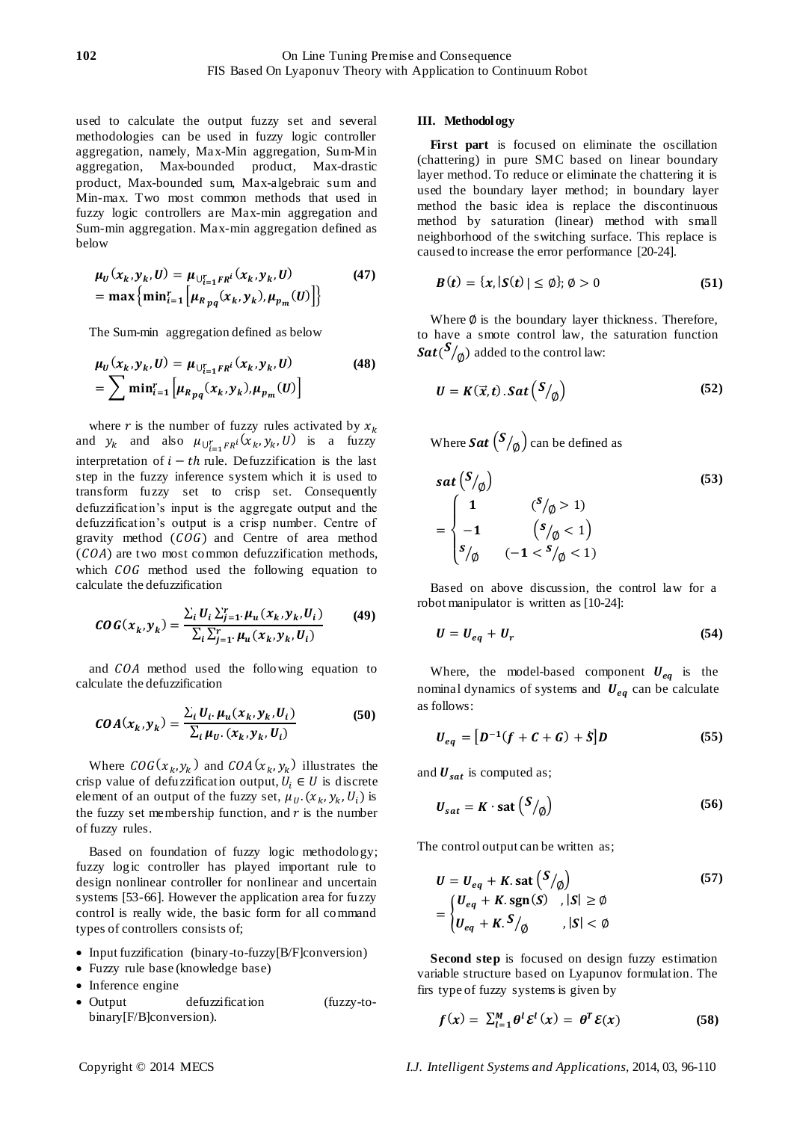used to calculate the output fuzzy set and several methodologies can be used in fuzzy logic controller aggregation, namely, Max-Min aggregation, Sum-Min aggregation, Max-bounded product, Max-drastic product, Max-bounded sum, Max-algebraic sum and Min-max. Two most common methods that used in fuzzy logic controllers are Max-min aggregation and Sum-min aggregation. Max-min aggregation defined as below

$$
\mu_U(x_k, y_k, U) = \mu_{\bigcup_{i=1}^r F R^i}(x_k, y_k, U)
$$
  
= max  $\{ \min_{i=1}^r \left[ \mu_{R_{pq}}(x_k, y_k), \mu_{p_m}(U) \right] \}$  (47)

The Sum-min aggregation defined as below

$$
\mu_U(x_k, y_k, U) = \mu_{\bigcup_{i=1}^r F R^i}(x_k, y_k, U)
$$
\n
$$
= \sum \min_{i=1}^r \left[ \mu_{R_{pq}}(x_k, y_k), \mu_{p_m}(U) \right]
$$
\n(48)

where r is the number of fuzzy rules activated by  $x_k$ and  $y_k$  and also  $\mu_{\bigcup_{i=1}^r FR^i}(x_k, y_k, U)$  is a fuzzy interpretation of  $i - th$  rule. Defuzzification is the last step in the fuzzy inference system which it is used to transform fuzzy set to crisp set. Consequently defuzzification's input is the aggregate output and the defuzzification's output is a crisp number. Centre of gravity method  $(COG)$  and Centre of area method  $(COA)$  are two most common defuzzification methods, which  $COG$  method used the following equation to calculate the defuzzification

$$
COG(x_k, y_k) = \frac{\sum_{i} U_i \sum_{j=1}^{r} \mu_u(x_k, y_k, U_i)}{\sum_{i} \sum_{j=1}^{r} \mu_u(x_k, y_k, U_i)}
$$
(49)

and COA method used the following equation to calculate the defuzzification

$$
COA(x_k, y_k) = \frac{\sum_i U_i \cdot \mu_u(x_k, y_k, U_i)}{\sum_i \mu_{U} \cdot (x_k, y_k, U_i)}
$$
(50)

Where  $COG(x_k, y_k)$  and  $COA(x_k, y_k)$  illustrates the crisp value of defuzzification output,  $U_i \in U$  is discrete element of an output of the fuzzy set,  $\mu_U$ .  $(x_k, y_k, U_i)$  is the fuzzy set membership function, and  $r$  is the number of fuzzy rules.

Based on foundation of fuzzy logic methodology; fuzzy logic controller has played important rule to design nonlinear controller for nonlinear and uncertain systems [53-66]. However the application area for fuzzy control is really wide, the basic form for all command types of controllers consists of;

- Input fuzzification (binary-to-fuzzy[B/F]conversion)
- Fuzzy rule base (knowledge base)
- Inference engine
- Output defuzzification (fuzzy-tobinary[F/B]conversion).

#### **III. Methodology**

**First part** is focused on eliminate the oscillation (chattering) in pure SMC based on linear boundary layer method. To reduce or eliminate the chattering it is used the boundary layer method; in boundary layer method the basic idea is replace the discontinuous method by saturation (linear) method with small neighborhood of the switching surface. This replace is caused to increase the error performance [20-24].

$$
B(t) = \{x, |S(t)| \le \emptyset\}; \emptyset > 0 \tag{51}
$$

Where  $\emptyset$  is the boundary layer thickness. Therefore, to have a smote control law, the saturation function  $\mathit{Sat}(\mathcal{S}/_\text{\O})$  added to the control law:

$$
U = K(\vec{x}, t) . Sat\left(\frac{S}{\phi}\right) \tag{52}
$$

Where  $\mathit{Sat}\left( {S/_{\textit{Q}}} \right)$  can be defined as

$$
sat\binom{S}{\emptyset} \tag{53}
$$
\n
$$
= \begin{cases}\n1 & ({}^{S}/_{\emptyset} > 1) \\
-1 & ({}^{S}/_{\emptyset} < 1) \\
S_{/\emptyset} & (-1 < {}^{S}/_{\emptyset} < 1)\n\end{cases}
$$

Based on above discussion, the control law for a robot manipulator is written as [10-24]:

$$
U = U_{eq} + U_r \tag{54}
$$

Where, the model-based component  $U_{eq}$  is the nominal dynamics of systems and  $U_{eq}$  can be calculate as follows:

$$
U_{eq} = [D^{-1}(f + C + G) + S]D
$$
 (55)

and  $U_{sat}$  is computed as;

$$
U_{sat} = K \cdot \text{sat} \left( \frac{S}{\phi} \right) \tag{56}
$$

The control output can be written as;

$$
U = U_{eq} + K \text{. sat } \left( \frac{S}{\phi} \right)
$$
  
= 
$$
\begin{cases} U_{eq} + K \text{. sgn}(S) , |S| \ge \phi \\ U_{eq} + K \text{.} \end{cases}
$$
 (57)  

$$
|S| < \phi
$$

**Second step** is focused on design fuzzy estimation variable structure based on Lyapunov formulation. The firs type of fuzzy systems is given by

$$
f(x) = \sum_{l=1}^{M} \theta^{l} \mathcal{E}^{l}(x) = \theta^{T} \mathcal{E}(x)
$$
 (58)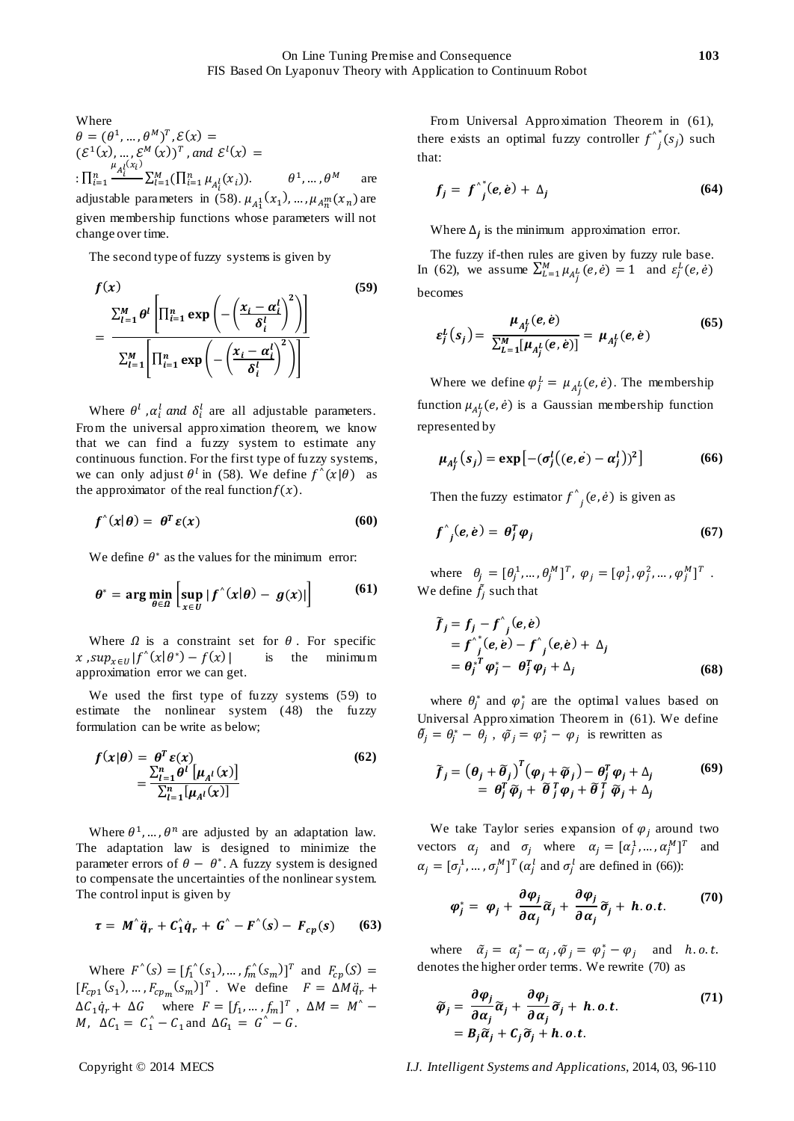Where  $\theta = (\theta^1, ..., \theta^M)^T, \mathcal{E}(\mathbf{x}) =$  $(\mathcal{E}^1(x), ..., \mathcal{E}^M(x))^T$ , and  $\mathcal{E}^l(x) =$  $\prod_{i=1}^n \frac{\mu_{A_i^l}(x_i)}{n}$  $\sum_{i=1}^n \frac{1}{l} \sum_{l=1}^M (\prod_{i=1}^n \mu_{A_i^l}(x_i)).$  $1, \ldots, \theta^M$  are adjustable parameters in (58).  $\mu_{A_1^1}(x_1), \ldots, \mu_{A_n^m}(x_n)$  are given membership functions whose parameters will not change over time.

The second type of fuzzy systems is given by

$$
f(x) \qquad (59)
$$

$$
= \frac{\sum_{l=1}^{M} \theta^{l} \left[ \prod_{i=1}^{n} \exp\left(-\left(\frac{x_{i} - \alpha_{i}^{l}}{\delta_{i}^{l}}\right)^{2}\right) \right]}{\sum_{l=1}^{M} \left[ \prod_{i=1}^{n} \exp\left(-\left(\frac{x_{i} - \alpha_{i}^{l}}{\delta_{i}^{l}}\right)^{2}\right) \right]}
$$

Where  $\theta^l$ ,  $\alpha_i^l$  and  $\delta_i^l$  are all adjustable parameters. From the universal approximation theorem, we know that we can find a fuzzy system to estimate any continuous function. For the first type of fuzzy systems, we can only adjust  $\theta^l$  in (58). We define  $f'(x|\theta)$  as the approximator of the real function  $f(x)$ .

$$
f^{\wedge}(x|\theta) = \theta^T \varepsilon(x) \tag{60}
$$

We define  $\theta^*$  as the values for the minimum error:

$$
\theta^* = \arg\min_{\theta \in \Omega} \left[ \sup_{x \in U} |f(x)|\theta) - g(x)| \right] \tag{61}
$$

Where  $\Omega$  is a constraint set for  $\theta$ . For specific x,  $sup_{x \in U} |f'(x|\theta^*) - f(x)|$  is the minimum approximation error we can get.

We used the first type of fuzzy systems (59) to estimate the nonlinear system (48) the fuzzy formulation can be write as below;

$$
f(x|\theta) = \frac{\theta^T \varepsilon(x)}{\sum_{l=1}^n \theta^l \left[\mu_{A^l}(x)\right]} = \frac{\sum_{l=1}^n \theta^l \left[\mu_{A^l}(x)\right]}{\sum_{l=1}^n \left[\mu_{A^l}(x)\right]}
$$
(62)

Where  $\theta^1$ , ...,  $\theta^n$  are adjusted by an adaptation law. The adaptation law is designed to minimize the parameter errors of  $\theta - \theta^*$ . A fuzzy system is designed to compensate the uncertainties of the nonlinear system. The control input is given by

$$
\tau = M^{\hat{}} \ddot{q}_r + C_1^{\hat{}} \dot{q}_r + G^{\hat{}} - F^{\hat{}}(s) - F_{cp}(s) \qquad (63)
$$

Where  $F'(s) = [f_1'(s_1), ..., f_m'(s_m)]^T$  and  $F_{cn}(S) =$  $[F_{cp1}(s_1), ..., F_{cpm}(s_m)]^T$ . We define  $F = \Delta M \ddot{q}_r$  $\Delta C_1 \dot{q}_r + \Delta G$  where  $F = [f_1, ..., f_m]^T$ , M,  $\Delta C_1 = C_1^{\wedge} - C_1$  and  $\Delta G_1 = G^{\wedge} - G$ .

From Universal Approximation Theorem in (61), there exists an optimal fuzzy controller  $f_{j}^{\lambda}$  $i(s_i)$  such that:

$$
f_j = f^{A^*}(e, e) + \Delta_j \tag{64}
$$

Where  $\Delta_i$  is the minimum approximation error.

The fuzzy if-then rules are given by fuzzy rule base. In (62), we assume  $\sum_{L=1}^{M} \mu_{A_i^L}(e, \dot{e}) = 1$  and  $\varepsilon_j^L(e, \dot{e})$ becomes

$$
\varepsilon_j^L(s_j) = \frac{\mu_{A_j^L}(e, e)}{\sum_{L=1}^M [\mu_{A_j^L}(e, e)]} = \mu_{A_j^L}(e, e)
$$
(65)

Where we define  $\varphi_i^L = \mu_{A^L}(e, \dot{e})$ . The membership function  $\mu_{A}$ ,  $(e, \dot{e})$  is a Gaussian membership function represented by

$$
\mu_{A_j^L}(s_j) = \exp\left[-(\sigma_j^L((e,e) - \alpha_j^L))^2\right] \tag{66}
$$

Then the fuzzy estimator  $f'_{j}(e, \dot{e})$  is given as

$$
f^{\wedge}_{j}(e,e) = \theta_{j}^{T}\varphi_{j} \tag{67}
$$

where  $\theta_i = [\theta_i^1, ..., \theta_i^M]^T$ ,  $\varphi_i = [\varphi_i^1, \varphi_i^2, ..., \varphi_i^M]^T$ . We define  $f_j$  such that

$$
\tilde{f}_j = f_j - f^{\hat{}}_j(e, e)
$$
  
=  $f^{\hat{}}_j(e, e) - f^{\hat{}}_j(e, e) + \Delta_j$   
=  $\theta_j^* \varphi_j - \theta_j^T \varphi_j + \Delta_j$  (68)

where  $\theta_i^*$  and  $\varphi_i^*$  are the optimal values based on Universal Approximation Theorem in (61). We define  $\tilde{\theta}_j = \theta_j^* - \theta_j$ ,  $\tilde{\varphi}_j = \varphi_j^* - \varphi_j$  is rewritten as

$$
\tilde{f}_j = \left(\theta_j + \tilde{\theta}_j\right)^T \left(\varphi_j + \tilde{\varphi}_j\right) - \theta_j^T \varphi_j + \Delta_j
$$
\n
$$
= \theta_j^T \tilde{\varphi}_j + \tilde{\theta}_j^T \varphi_j + \tilde{\theta}_j^T \tilde{\varphi}_j + \Delta_j
$$
\n(69)

We take Taylor series expansion of  $\varphi_i$  around two vectors  $\alpha_i$  and  $\sigma_i$  where  $\alpha_i = [\alpha_i^1, ..., \alpha_i^M]^T$ and  $\alpha_i = [\sigma_i^1, ..., \sigma_i^M]^T (\alpha_i^l$  and  $\sigma_i^l$  are defined in (66)):

$$
\varphi_j^* = \varphi_j + \frac{\partial \varphi_j}{\partial \alpha_j} \widetilde{\alpha}_j + \frac{\partial \varphi_j}{\partial \alpha_j} \widetilde{\sigma}_j + h.o.t. \tag{70}
$$

where  $\tilde{\alpha}_j = \alpha_j^* - \alpha_j$ ,  $\tilde{\varphi}_j = \varphi_j^* - \varphi_j$  and denotes the higher order terms. We rewrite (70) as

$$
\widetilde{\varphi}_j = \frac{\partial \varphi_j}{\partial \alpha_j} \widetilde{\alpha}_j + \frac{\partial \varphi_j}{\partial \alpha_j} \widetilde{\sigma}_j + h.o.t.
$$
\n
$$
= B_j \widetilde{\alpha}_j + C_j \widetilde{\sigma}_j + h.o.t.
$$
\n(71)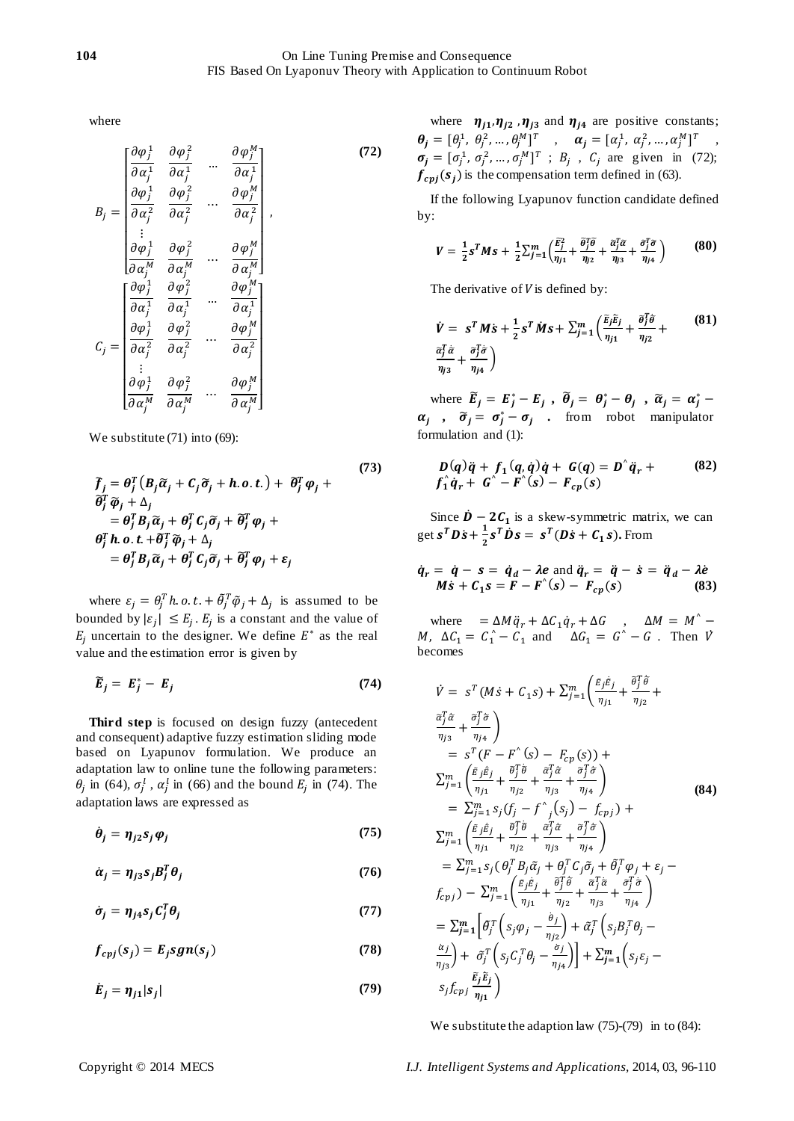where

$$
B_{j} = \begin{bmatrix} \frac{\partial \varphi_{j}^{1}}{\partial \alpha_{j}^{1}} & \frac{\partial \varphi_{j}^{2}}{\partial \alpha_{j}^{1}} & \cdots & \frac{\partial \varphi_{j}^{M}}{\partial \alpha_{j}^{1}} \\ \frac{\partial \varphi_{j}^{1}}{\partial \alpha_{j}^{2}} & \frac{\partial \varphi_{j}^{2}}{\partial \alpha_{j}^{2}} & \cdots & \frac{\partial \varphi_{j}^{M}}{\partial \alpha_{j}^{2}} \\ \vdots & \vdots & \ddots & \vdots \\ \frac{\partial \varphi_{j}^{1}}{\partial \alpha_{j}^{M}} & \frac{\partial \varphi_{j}^{2}}{\partial \alpha_{j}^{M}} & \cdots & \frac{\partial \varphi_{j}^{M}}{\partial \alpha_{j}^{M}} \end{bmatrix},
$$
\n
$$
C_{j} = \begin{bmatrix} \frac{\partial \varphi_{j}^{1}}{\partial \alpha_{j}^{1}} & \frac{\partial \varphi_{j}^{2}}{\partial \alpha_{j}^{1}} & \cdots & \frac{\partial \varphi_{j}^{M}}{\partial \alpha_{j}^{1}} \\ \frac{\partial \varphi_{j}^{1}}{\partial \alpha_{j}^{2}} & \frac{\partial \varphi_{j}^{2}}{\partial \alpha_{j}^{2}} & \cdots & \frac{\partial \varphi_{j}^{M}}{\partial \alpha_{j}^{2}} \\ \vdots & \vdots & \vdots & \vdots \\ \frac{\partial \varphi_{j}^{1}}{\partial \alpha_{j}^{M}} & \frac{\partial \varphi_{j}^{2}}{\partial \alpha_{j}^{M}} & \cdots & \frac{\partial \varphi_{j}^{M}}{\partial \alpha_{j}^{M}} \end{bmatrix}
$$
\n(72)

We substitute (71) into (69):

$$
\tilde{f}_j = \theta_j^T (B_j \tilde{\alpha}_j + C_j \tilde{\sigma}_j + h.o.t.) + \tilde{\theta}_j^T \varphi_j + \n\tilde{\theta}_j^T \tilde{\varphi}_j + \Delta_j \n= \theta_j^T B_j \tilde{\alpha}_j + \theta_j^T C_j \tilde{\sigma}_j + \tilde{\theta}_j^T \varphi_j + \n\theta_j^T h.o.t. + \tilde{\theta}_j^T \tilde{\varphi}_j + \Delta_j \n= \theta_j^T B_j \tilde{\alpha}_j + \theta_j^T C_j \tilde{\sigma}_j + \tilde{\theta}_j^T \varphi_j + \varepsilon_j
$$
\n(73)

where  $\varepsilon_j = \theta_j^T h$ .  $o$ .  $t$ . +  $\tilde{\theta}_j^T \tilde{\varphi}_j + \Delta_j$  is assumed to be bounded by  $|\varepsilon_i| \leq E_i$ .  $E_i$  is a constant and the value of  $E_i$  uncertain to the designer. We define  $E^*$  as the real value and the estimation error is given by

$$
\widetilde{E}_j = E_j^* - E_j \tag{74}
$$

**Third step** is focused on design fuzzy (antecedent and consequent) adaptive fuzzy estimation sliding mode based on Lyapunov formulation. We produce an adaptation law to online tune the following parameters:  $\theta_i$  in (64),  $\sigma_i^l$ ,  $\alpha_i^l$  in (66) and the bound  $E_i$  in (74). The adaptation laws are expressed as

$$
\dot{\theta}_j = \eta_{j2} s_j \varphi_j \tag{75}
$$

$$
\dot{\alpha}_j = \eta_{j3} s_j B_j^T \theta_j \tag{76}
$$

$$
\dot{\sigma}_j = \eta_{j4} s_j C_j^T \theta_j \tag{77}
$$

$$
f_{cpj}(s_j) = E_j sgn(s_j)
$$
 (78)

$$
\dot{E}_j = \eta_{j1}|s_j| \tag{79}
$$

where  $\eta_{j1}, \eta_{j2}$ ,  $\eta_{j3}$  and  $\eta_{j4}$  are positive constants;  $\theta_i = [\theta_i^1, \theta_i^2, ..., \theta_i^M]^T$ ,  $\alpha_i = [\alpha_i^1, \alpha_i^2, ..., \alpha_i^M]^T$ ,  $\sigma_i = [\sigma_i^1, \sigma_i^2, ..., \sigma_i^M]^T$ ;  $B_i$ ,  $C_i$  are given in (72);  $f_{\text{cpi}}(s_i)$  is the compensation term defined in (63).

If the following Lyapunov function candidate defined by:

$$
V = \frac{1}{2} s^T M s + \frac{1}{2} \sum_{j=1}^m \left( \frac{\tilde{E}_j^2}{\eta_{j1}} + \frac{\tilde{\theta}_j^T \tilde{\theta}}{\eta_{j2}} + \frac{\tilde{\alpha}_j^T \tilde{\alpha}}{\eta_{j3}} + \frac{\tilde{\sigma}_j^T \tilde{\sigma}}{\eta_{j4}} \right)
$$
(80)

The derivative of  $V$  is defined by:

$$
\dot{V} = s^T M \dot{s} + \frac{1}{2} s^T M s + \sum_{j=1}^m \left( \frac{\tilde{E}_j \tilde{E}_j}{\eta_{j1}} + \frac{\theta_j^T \dot{\theta}}{\eta_{j2}} + \frac{\tilde{\alpha}_j^T \ddot{\alpha}}{\eta_{j3}} + \frac{\tilde{\alpha}_j^T \ddot{\sigma}}{\eta_{j4}} \right)
$$
\n(81)

where  $\widetilde{E}_j = E_j^* - E_j$ ,  $\widetilde{\theta}_j = \theta_j^* - \theta_j$ ,  $\widetilde{\alpha}_j = \alpha_j^*$  $\alpha_j$ ,  $\tilde{\sigma}_j = \sigma_j^* - \sigma_j$ , from robot manipulator formulation and (1):

$$
D(q)\ddot{q} + f_1(q,\dot{q})\dot{q} + G(q) = D^{\dagger}\ddot{q}_r +
$$
  
\n
$$
f_1^{\dagger}\dot{q}_r + G^{\dagger} - F^{\dagger}(s) - F_{cp}(s)
$$
\n(82)

Since  $\dot{\mathbf{D}} - 2\mathbf{C}_1$  is a skew-symmetric matrix, we can get  $\mathbf{s}^T \mathbf{D} \dot{\mathbf{s}} + \frac{1}{2}$  $\frac{1}{2} s^T \dot{D} s = s^T (D \dot{s} + C_1 s)$ . From

$$
\dot{q}_r = \dot{q} - s = \dot{q}_d - \lambda e \text{ and } \ddot{q}_r = \ddot{q} - \dot{s} = \ddot{q}_d - \lambda \dot{e}
$$
  

$$
Ms + C_1 s = F - F^{\hat{}}(s) - F_{cp}(s)
$$
 (83)

where  $=\Delta M \ddot{q}_r + \Delta C_1 \dot{q}_r + \Delta G$ , M,  $\Delta C_1 = C_1^{\wedge} - C_1$  and  $\Delta G_1 = G^{\wedge} - G$ . Then  $\dot{V}$ becomes

$$
\dot{V} = s^{T}(M\dot{s} + C_{1}s) + \sum_{j=1}^{m} \left( \frac{\dot{E}_{j}\dot{E}_{j}}{\eta_{j1}} + \frac{\tilde{\theta}_{j}^{T}\tilde{\theta}}{\eta_{j2}} + \frac{\tilde{\theta}_{j}^{T}\tilde{\theta}}{\eta_{j3}} + \frac{\tilde{\theta}_{j}^{T}\tilde{\theta}}{\eta_{j4}} \right)
$$
\n
$$
= s^{T}(F - F^{(s)} - F_{cp}(s)) + \sum_{j=1}^{m} \left( \frac{\tilde{E}_{j}\dot{E}_{j}}{\eta_{j1}} + \frac{\tilde{\theta}_{j}^{T}\tilde{\theta}}{\eta_{j2}} + \frac{\tilde{\alpha}_{j}^{T}\tilde{\alpha}}{\eta_{j3}} + \frac{\tilde{\sigma}_{j}^{T}\tilde{\theta}}{\eta_{j4}} \right)
$$
\n
$$
= \sum_{j=1}^{m} s_{j}(f_{j} - f^{(s)}_{j}(s_{j}) - f_{cpj}) + \sum_{j=1}^{m} \left( \frac{\tilde{E}_{j}\dot{E}_{j}}{\eta_{j1}} + \frac{\tilde{\theta}_{j}^{T}\tilde{\theta}}{\eta_{j2}} + \frac{\tilde{\alpha}_{j}^{T}\tilde{\alpha}}{\eta_{j3}} + \frac{\tilde{\sigma}_{j}^{T}\tilde{\theta}}{\eta_{j4}} \right)
$$
\n
$$
= \sum_{j=1}^{m} s_{j}(\theta_{j}^{T}B_{j}\tilde{\alpha}_{j} + \theta_{j}^{T}C_{j}\tilde{\sigma}_{j} + \tilde{\theta}_{j}^{T}\phi_{j} + \varepsilon_{j} - f_{cpj}) - \sum_{j=1}^{m} \left( \frac{\tilde{E}_{j}\dot{E}_{j}}{\eta_{j1}} + \frac{\tilde{\theta}_{j}^{T}\tilde{\theta}}{\eta_{j2}} + \frac{\tilde{\alpha}_{j}^{T}\tilde{\alpha}}{\eta_{j3}} + \frac{\tilde{\sigma}_{j}^{T}\tilde{\sigma}}{\eta_{j4}} \right)
$$
\n
$$
= \sum_{j=1}^{m} \left[ \tilde{\theta}_{j}^{T}\left(s_{j}\phi_{j} - \frac{\tilde{\theta}_{j}}{\eta_{j2}}\right) + \tilde{\alpha}_{j}^{T}\left(s_{j}B_{j}^{T}\theta_{j} - \frac{\tilde{\alpha}_{j}}{\eta_{j4}}\right) \right]
$$
\

We substitute the adaption law (75)-(79) in to (84):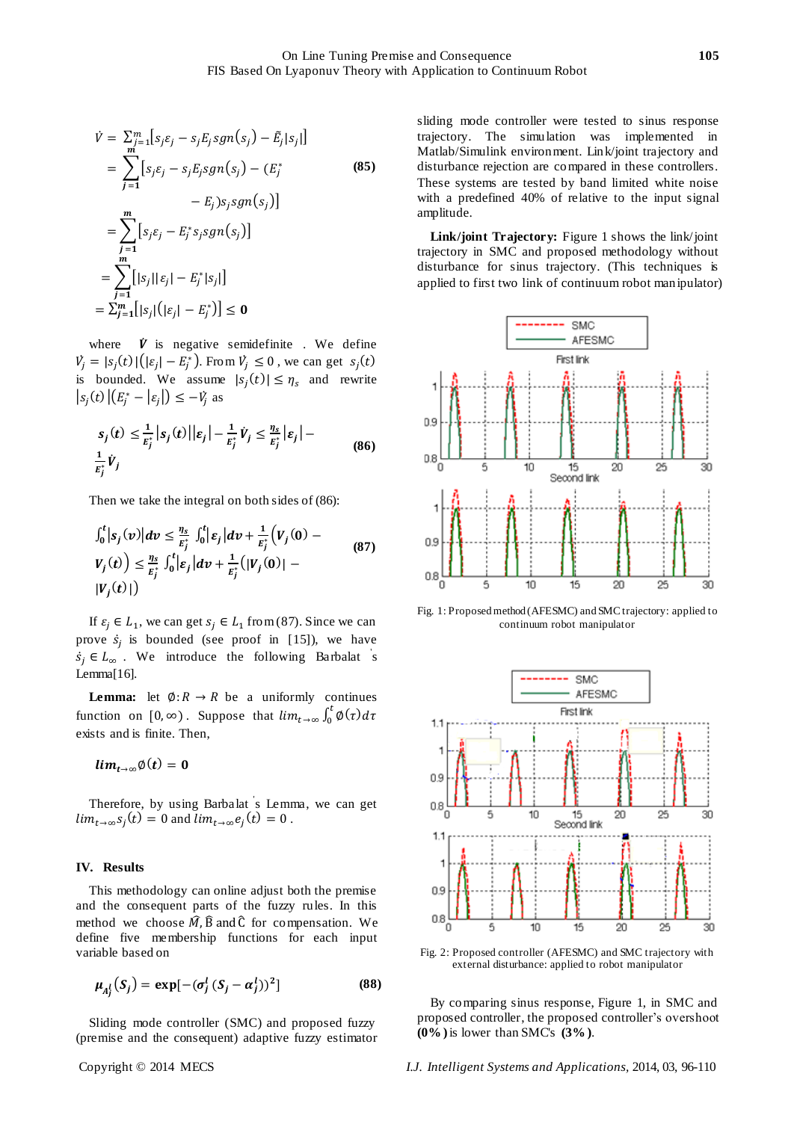$$
\dot{V} = \sum_{j=1}^{m} [s_j \varepsilon_j - s_j E_j sgn(s_j) - \tilde{E}_j | s_j |]
$$
  
\n
$$
= \sum_{j=1}^{m} [s_j \varepsilon_j - s_j E_j sgn(s_j) - (E_j^*)
$$
(85)  
\n
$$
- E_j) s_j sgn(s_j)]
$$
  
\n
$$
= \sum_{j=1}^{m} [s_j \varepsilon_j - E_j^* s_j sgn(s_j)]
$$
  
\n
$$
= \sum_{j=1}^{m} [|s_j| | \varepsilon_j| - E_j^* | s_j |]
$$
  
\n
$$
= \sum_{j=1}^{m} [|s_j| (| \varepsilon_j| - E_j^*)] \le 0
$$

where  $\dot{V}$  is negative semidefinite. We define  $V_j = |s_j(t)| \left( |\varepsilon_j| - E_j^* \right)$ . From  $V_j \le 0$ , we can get  $s_j(t)$ is bounded. We assume  $|s_i(t)| \leq \eta_s$  and rewrite  $|s_j(t)| (E_j^* - |\varepsilon_j|) \leq -V_j$  as

$$
s_j(t) \le \frac{1}{E_j^*} |s_j(t)||\varepsilon_j| - \frac{1}{E_j^*} \dot{V}_j \le \frac{\eta_s}{E_j^*} |\varepsilon_j| - \frac{1}{E_j^*} \dot{V}_j \tag{86}
$$

Then we take the integral on both sides of (86):

$$
\int_0^t |s_j(v)| dv \leq \frac{\eta_s}{E_j^*} \int_0^t |\varepsilon_j| dv + \frac{1}{E_j^*} (V_j(0) - V_j(t)) \leq \frac{\eta_s}{E_j^*} \int_0^t |\varepsilon_j| dv + \frac{1}{E_j^*} (|V_j(0)| - |V_j(t)|)
$$
\n(87)

If  $\varepsilon_i \in L_1$ , we can get  $s_i \in L_1$  from (87). Since we can prove  $\dot{s}_j$  is bounded (see proof in [15]), we have  $s_j \in L_\infty$ . We introduce the following Barbalat s Lemma[16].

**Lemma:** let  $\emptyset: R \to R$  be a uniformly continues function on  $[0, \infty)$ . Suppose that  $\lim_{t \to \infty} \int_0^t \phi(\tau) d\tau$ exists and is finite. Then,

$$
lim_{t\to\infty}\phi(t)=0
$$

Therefore, by using Barbalat ' s Lemma, we can get  $\lim_{t\to\infty} s_i(t) = 0$  and  $\lim_{t\to\infty} e_i(t) = 0$ .

#### **IV. Results**

This methodology can online adjust both the premise and the consequent parts of the fuzzy rules. In this method we choose  $\hat{M}$ ,  $\hat{B}$  and  $\hat{C}$  for compensation. We define five membership functions for each input variable based on

$$
\mu_{A_j^l}(S_j) = \exp[-(\sigma_j^l (S_j - \alpha_j^l))^2]
$$
\n(88)

Sliding mode controller (SMC) and proposed fuzzy (premise and the consequent) adaptive fuzzy estimator

sliding mode controller were tested to sinus response trajectory. The simulation was implemented in Matlab/Simulink environment. Link/joint trajectory and disturbance rejection are compared in these controllers. These systems are tested by band limited white noise with a predefined 40% of relative to the input signal amplitude.

Link/joint Trajectory: Figure 1 shows the link/joint trajectory in SMC and proposed methodology without disturbance for sinus trajectory. (This techniques is applied to first two link of continuum robot manipulator)



Fig. 1: Proposed method (AFESMC) and SMC trajectory: applied to continuum robot manipulator



Fig. 2: Proposed controller (AFESMC) and SMC trajectory with external disturbance: applied to robot manipulator

By comparing sinus response, Figure 1, in SMC and proposed controller, the proposed controller's overshoot **(0% )**is lower than SMC's **(3% )**.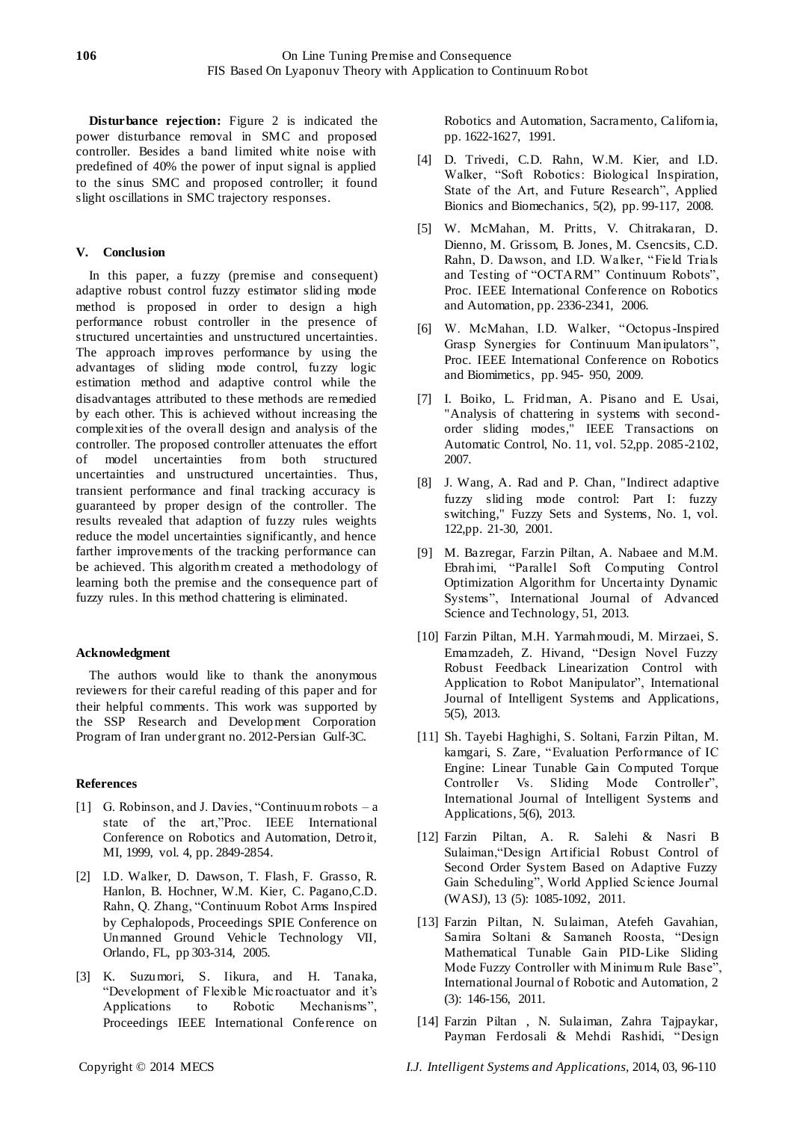**Disturbance rejection:** Figure 2 is indicated the power disturbance removal in SMC and proposed controller. Besides a band limited white noise with predefined of 40% the power of input signal is applied to the sinus SMC and proposed controller; it found slight oscillations in SMC trajectory responses.

# **V. Conclusion**

In this paper, a fuzzy (premise and consequent) adaptive robust control fuzzy estimator sliding mode method is proposed in order to design a high performance robust controller in the presence of structured uncertainties and unstructured uncertainties. The approach improves performance by using the advantages of sliding mode control, fuzzy logic estimation method and adaptive control while the disadvantages attributed to these methods are remedied by each other. This is achieved without increasing the complexities of the overall design and analysis of the controller. The proposed controller attenuates the effort of model uncertainties from both structured uncertainties and unstructured uncertainties. Thus, transient performance and final tracking accuracy is guaranteed by proper design of the controller. The results revealed that adaption of fuzzy rules weights reduce the model uncertainties significantly, and hence farther improvements of the tracking performance can be achieved. This algorithm created a methodology of learning both the premise and the consequence part of fuzzy rules. In this method chattering is eliminated.

## **Acknowledgment**

The authors would like to thank the anonymous reviewers for their careful reading of this paper and for their helpful comments. This work was supported by the SSP Research and Development Corporation Program of Iran under grant no. 2012-Persian Gulf-3C.

## **References**

- [1] G. Robinson, and J. Davies, "Continuum robots a state of the art,"Proc. IEEE International Conference on Robotics and Automation, Detroit, MI, 1999, vol. 4, pp. 2849-2854.
- [2] I.D. Walker, D. Dawson, T. Flash, F. Grasso, R. Hanlon, B. Hochner, W.M. Kier, C. Pagano,C.D. Rahn, Q. Zhang, "Continuum Robot Arms Inspired by Cephalopods, Proceedings SPIE Conference on Unmanned Ground Vehicle Technology VII, Orlando, FL, pp 303-314, 2005.
- [3] K. Suzumori, S. Iikura, and H. Tanaka, ―Development of Flexible Mic roactuator and it's Applications to Robotic Mechanisms", Proceedings IEEE International Conference on

Robotics and Automation, Sacramento, California, pp. 1622-1627, 1991.

- [4] D. Trivedi, C.D. Rahn, W.M. Kier, and I.D. Walker, "Soft Robotics: Biological Inspiration, State of the Art, and Future Research", Applied Bionics and Biomechanics, 5(2), pp. 99-117, 2008.
- [5] W. McMahan, M. Pritts, V. Chitrakaran, D. Dienno, M. Grissom, B. Jones, M. Csencsits, C.D. Rahn, D. Dawson, and I.D. Walker, "Field Trials and Testing of "OCTARM" Continuum Robots", Proc. IEEE International Conference on Robotics and Automation, pp. 2336-2341, 2006.
- [6] W. McMahan, I.D. Walker, "Octopus-Inspired Grasp Synergies for Continuum Manipulators", Proc. IEEE International Conference on Robotics and Biomimetics, pp. 945- 950, 2009.
- [7] I. Boiko, L. Fridman, A. Pisano and E. Usai, "Analysis of chattering in systems with secondorder sliding modes," IEEE Transactions on Automatic Control, No. 11, vol. 52,pp. 2085-2102, 2007.
- [8] J. Wang, A. Rad and P. Chan, "Indirect adaptive fuzzy sliding mode control: Part I: fuzzy switching," Fuzzy Sets and Systems, No. 1, vol. 122,pp. 21-30, 2001.
- [9] M. Bazregar, Farzin Piltan, A. Nabaee and M.M. Ebrahimi, "Parallel Soft Computing Control Optimization Algorithm for Uncertainty Dynamic Systems", International Journal of Advanced Science and Technology, 51, 2013.
- [10] Farzin Piltan, M.H. Yarmahmoudi, M. Mirzaei, S. Emamzadeh, Z. Hivand, "Design Novel Fuzzy Robust Feedback Linearization Control with Application to Robot Manipulator", International Journal of Intelligent Systems and Applications, 5(5), 2013.
- [11] Sh. Tayebi Haghighi, S. Soltani, Farzin Piltan, M. kamgari, S. Zare, "Evaluation Performance of IC Engine: Linear Tunable Gain Computed Torque Controller Vs. Sliding Mode Controller", International Journal of Intelligent Systems and Applications, 5(6), 2013.
- [12] Farzin Piltan, A. R. Salehi & Nasri B Sulaiman, "Design Artificial Robust Control of Second Order System Based on Adaptive Fuzzy Gain Scheduling", World Applied Science Journal (WASJ), 13 (5): 1085-1092, 2011.
- [13] Farzin Piltan, N. Sulaiman, Atefeh Gavahian, Samira Soltani & Samaneh Roosta, "Design Mathematical Tunable Gain PID-Like Sliding Mode Fuzzy Controller with Minimum Rule Base", International Journal of Robotic and Automation, 2 (3): 146-156, 2011.
- [14] Farzin Piltan , N. Sulaiman, Zahra Tajpaykar, Payman Ferdosali & Mehdi Rashidi, "Design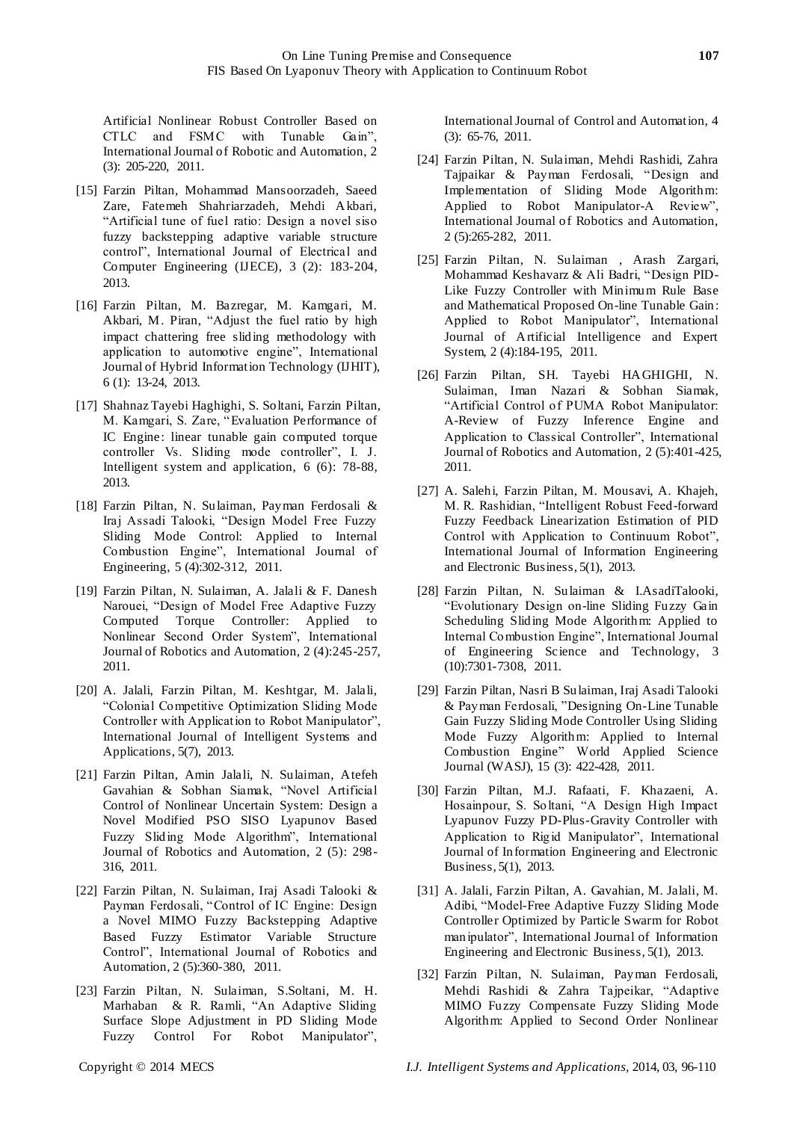Artificial Nonlinear Robust Controller Based on CTLC and FSMC with Tunable Gain", International Journal of Robotic and Automation, 2 (3): 205-220, 2011.

- [15] Farzin Piltan, Mohammad Mansoorzadeh, Saeed Zare, Fatemeh Shahriarzadeh, Mehdi Akbari, ―Artificial tune of fuel ratio: Design a novel siso fuzzy backstepping adaptive variable structure control", International Journal of Electrical and Computer Engineering (IJECE), 3 (2): 183-204, 2013.
- [16] Farzin Piltan, M. Bazregar, M. Kamgari, M. Akbari, M. Piran, "Adjust the fuel ratio by high impact chattering free sliding methodology with application to automotive engine", International Journal of Hybrid Information Technology (IJHIT), 6 (1): 13-24, 2013.
- [17] Shahnaz Tayebi Haghighi, S. Soltani, Farzin Piltan, M. Kamgari, S. Zare, "Evaluation Performance of IC Engine: linear tunable gain computed torque controller Vs. Sliding mode controller", I. J. Intelligent system and application, 6 (6): 78-88, 2013.
- [18] Farzin Piltan, N. Sulaiman, Payman Ferdosali & Iraj Assadi Talooki, "Design Model Free Fuzzy Sliding Mode Control: Applied to Internal Combustion Engine", International Journal of Engineering, 5 (4):302-312, 2011.
- [19] Farzin Piltan, N. Sulaiman, A. Jalali & F. Danesh Narouei, "Design of Model Free Adaptive Fuzzy Computed Torque Controller: Applied to Nonlinear Second Order System", International Journal of Robotics and Automation, 2 (4):245-257, 2011.
- [20] A. Jalali, Farzin Piltan, M. Keshtgar, M. Jalali, ―Colonial Competitive Optimization Sliding Mode Controller with Application to Robot Manipulator", International Journal of Intelligent Systems and Applications, 5(7), 2013.
- [21] Farzin Piltan, Amin Jalali, N. Sulaiman, Atefeh Gavahian & Sobhan Siamak, "Novel Artificial Control of Nonlinear Uncertain System: Design a Novel Modified PSO SISO Lyapunov Based Fuzzy Sliding Mode Algorithm", International Journal of Robotics and Automation, 2 (5): 298- 316, 2011.
- [22] Farzin Piltan, N. Sulaiman, Iraj Asadi Talooki & Payman Ferdosali, "Control of IC Engine: Design a Novel MIMO Fuzzy Backstepping Adaptive Based Fuzzy Estimator Variable Structure Control", International Journal of Robotics and Automation, 2 (5):360-380, 2011.
- [23] Farzin Piltan, N. Sulaiman, S.Soltani, M. H. Marhaban & R. Ramli, "An Adaptive Sliding Surface Slope Adjustment in PD Sliding Mode Fuzzy Control For Robot Manipulator",

International Journal of Control and Automation, 4 (3): 65-76, 2011.

- [24] Farzin Piltan, N. Sulaiman, Mehdi Rashidi, Zahra Tajpaikar & Payman Ferdosali, "Design and Implementation of Sliding Mode Algorithm: Applied to Robot Manipulator-A Review", International Journal of Robotics and Automation, 2 (5):265-282, 2011.
- [25] Farzin Piltan, N. Sulaiman , Arash Zargari, Mohammad Keshavarz & Ali Badri, "Design PID-Like Fuzzy Controller with Minimum Rule Base and Mathematical Proposed On-line Tunable Gain: Applied to Robot Manipulator", International Journal of Artificial Intelligence and Expert System, 2 (4):184-195, 2011.
- [26] Farzin Piltan, SH. Tayebi HAGHIGHI, N. Sulaiman, Iman Nazari & Sobhan Siamak, ―Artificial Control of PUMA Robot Manipulator: A-Review of Fuzzy Inference Engine and Application to Classical Controller", International Journal of Robotics and Automation, 2 (5):401-425, 2011.
- [27] A. Salehi, Farzin Piltan, M. Mousavi, A. Khajeh, M. R. Rashidian, "Intelligent Robust Feed-forward Fuzzy Feedback Linearization Estimation of PID Control with Application to Continuum Robot", International Journal of Information Engineering and Electronic Business, 5(1), 2013.
- [28] Farzin Piltan, N. Sulaiman & I.AsadiTalooki, ―Evolutionary Design on-line Sliding Fuzzy Gain Scheduling Sliding Mode Algorithm: Applied to Internal Combustion Engine", International Journal of Engineering Science and Technology, 3 (10):7301-7308, 2011.
- [29] Farzin Piltan, Nasri B Sulaiman, Iraj Asadi Talooki & Payman Ferdosali, "Designing On-Line Tunable Gain Fuzzy Sliding Mode Controller Using Sliding Mode Fuzzy Algorithm: Applied to Internal Combustion Engine" World Applied Science Journal (WASJ), 15 (3): 422-428, 2011.
- [30] Farzin Piltan, M.J. Rafaati, F. Khazaeni, A. Hosainpour, S. Soltani, "A Design High Impact Lyapunov Fuzzy PD-Plus-Gravity Controller with Application to Rigid Manipulator", International Journal of Information Engineering and Electronic Business, 5(1), 2013.
- [31] A. Jalali, Farzin Piltan, A. Gavahian, M. Jalali, M. Adibi, "Model-Free Adaptive Fuzzy Sliding Mode Controller Optimized by Particle Swarm for Robot manipulator", International Journal of Information Engineering and Electronic Business, 5(1), 2013.
- [32] Farzin Piltan, N. Sulaiman, Payman Ferdosali, Mehdi Rashidi & Zahra Tajpeikar, "Adaptive MIMO Fuzzy Compensate Fuzzy Sliding Mode Algorithm: Applied to Second Order Nonlinear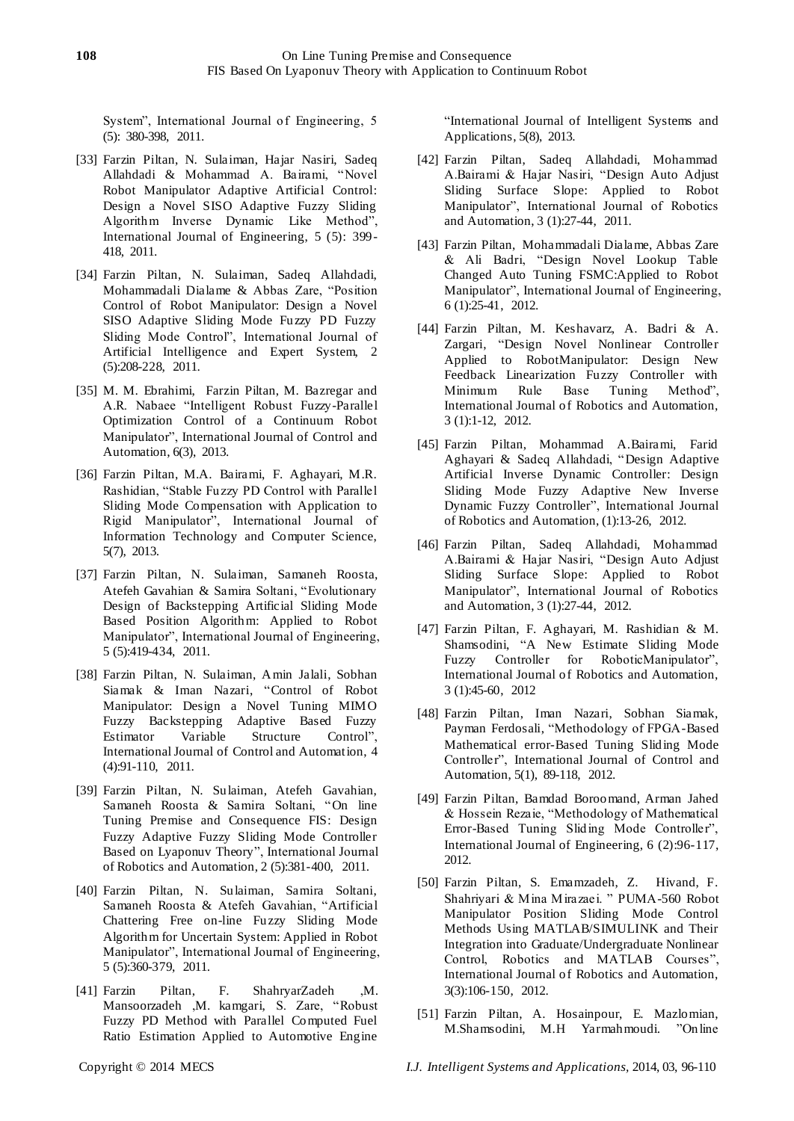System", International Journal of Engineering, 5 (5): 380-398, 2011.

- [33] Farzin Piltan, N. Sulaiman, Hajar Nasiri, Sadeq Allahdadi & Mohammad A. Bairami, "Novel Robot Manipulator Adaptive Artificial Control: Design a Novel SISO Adaptive Fuzzy Sliding Algorithm Inverse Dynamic Like Method", International Journal of Engineering, 5 (5): 399- 418, 2011.
- [34] Farzin Piltan, N. Sulaiman, Sadeq Allahdadi, Mohammadali Dialame & Abbas Zare, "Position Control of Robot Manipulator: Design a Novel SISO Adaptive Sliding Mode Fuzzy PD Fuzzy Sliding Mode Control", International Journal of Artificial Intelligence and Expert System, 2 (5):208-228, 2011.
- [35] M. M. Ebrahimi, Farzin Piltan, M. Bazregar and A.R. Nabaee "Intelligent Robust Fuzzy-Parallel Optimization Control of a Continuum Robot Manipulator", International Journal of Control and Automation, 6(3), 2013.
- [36] Farzin Piltan, M.A. Bairami, F. Aghayari, M.R. Rashidian, "Stable Fuzzy PD Control with Parallel Sliding Mode Compensation with Application to Rigid Manipulator", International Journal of Information Technology and Computer Science, 5(7), 2013.
- [37] Farzin Piltan, N. Sulaiman, Samaneh Roosta, Atefeh Gavahian & Samira Soltani, "Evolutionary Design of Backstepping Artificial Sliding Mode Based Position Algorithm: Applied to Robot Manipulator", International Journal of Engineering, 5 (5):419-434, 2011.
- [38] Farzin Piltan, N. Sulaiman, Amin Jalali, Sobhan Siamak & Iman Nazari, "Control of Robot Manipulator: Design a Novel Tuning MIMO Fuzzy Backstepping Adaptive Based Fuzzy Estimator Variable Structure Control", International Journal of Control and Automation, 4 (4):91-110, 2011.
- [39] Farzin Piltan, N. Sulaiman, Atefeh Gavahian, Samaneh Roosta & Samira Soltani, "On line [Tuning Premise and Consequence FIS: Design](http://www.cscjournals.org/csc/manuscriptinfo.php?ManuscriptCode=67.68.76.59.39.47.49.104&JCode=IJRA&EJCode=66.67.75.58.105&Volume=2&Issue=5)  [Fuzzy Adaptive Fuzzy Sliding Mode Controller](http://www.cscjournals.org/csc/manuscriptinfo.php?ManuscriptCode=67.68.76.59.39.47.49.104&JCode=IJRA&EJCode=66.67.75.58.105&Volume=2&Issue=5)  Based on Lyaponuv Theory", International Journal of Robotics and Automation, 2 (5):381-400, 2011.
- [40] Farzin Piltan, N. Sulaiman, Samira Soltani, Samaneh Roosta & Atefeh Gavahian, "Artificial [Chattering Free on-line Fuzzy Sliding Mode](http://www.cscjournals.org/csc/manuscriptinfo.php?ManuscriptCode=68.69.64.40.46.44.44.103&JCode=IJE&EJCode=70.71.66.101&Volume=5&Issue=5)  [Algorithm for Uncertain System:](http://www.cscjournals.org/csc/manuscriptinfo.php?ManuscriptCode=68.69.64.40.46.44.44.103&JCode=IJE&EJCode=70.71.66.101&Volume=5&Issue=5) Applied in Robot Manipulator", International Journal of Engineering, 5 (5):360-379, 2011.
- [41] Farzin Piltan, F. ShahryarZadeh ,M. Mansoorzadeh ,M. kamgari, S. Zare, "Robust Fuzzy PD Method with Parallel Computed Fuel Ratio Estimation Applied to Automotive Engine

"International Journal of Intelligent Systems and Applications, 5(8), 2013.

- [42] Farzin Piltan, Sadeq Allahdadi, Mohammad A.Bairami & Hajar Nasiri, "Design Auto Adjust Sliding Surface Slope: Applied to Robot Manipulator", International Journal of Robotics and Automation, 3 (1):27-44, 2011.
- [43] Farzin Piltan, Mohammadali Dialame, Abbas Zare & Ali Badri, "Design Novel Lookup Table Changed Auto Tuning FSMC:Applied to Robot Manipulator", International Journal of Engineering, 6 (1):25-41, 2012.
- [44] Farzin Piltan, M. Keshavarz, A. Badri & A. Zargari, "Design Novel Nonlinear Controller Applied to RobotManipulator: Design New Feedback Linearization Fuzzy Controller with Minimum Rule Base Tuning Method", International Journal of Robotics and Automation, 3 (1):1-12, 2012.
- [45] Farzin Piltan, Mohammad A.Bairami, Farid Aghayari & Sadeq Allahdadi, "Design Adaptive Artificial Inverse Dynamic Controller: Design Sliding Mode Fuzzy Adaptive New Inverse Dynamic Fuzzy Controller", International Journal of Robotics and Automation, (1):13-26, 2012.
- [46] Farzin Piltan, Sadeq Allahdadi, Mohammad A.Bairami & Hajar Nasiri, "Design Auto Adjust Sliding Surface Slope: Applied to Robot Manipulator", International Journal of Robotics and Automation, 3 (1):27-44, 2012.
- [47] Farzin Piltan, F. Aghayari, M. Rashidian & M. Shamsodini, "A New Estimate Sliding Mode Fuzzy Controller for RoboticManipulator", International Journal of Robotics and Automation, 3 (1):45-60, 2012
- [48] Farzin Piltan, Iman Nazari, Sobhan Siamak, Payman Ferdosali, "Methodology of FPGA-Based Mathematical error-Based Tuning Sliding Mode Controller", International Journal of Control and Automation, 5(1), 89-118, 2012.
- [49] Farzin Piltan, Bamdad Boroomand, Arman Jahed & Hossein Rezaie, "Methodology of Mathematical Error-Based Tuning Sliding Mode Controller", International Journal of Engineering, 6 (2):96-117, 2012.
- [50] Farzin Piltan, S. Emamzadeh, Z. Hivand, F. Shahriyari & Mina Mirazaei. " PUMA-560 Robot Manipulator Position Sliding Mode Control Methods Using MATLAB/SIMULINK and Their Integration into Graduate/Undergraduate Nonlinear Control, Robotics and MATLAB Courses", International Journal of Robotics and Automation, 3(3):106-150, 2012.
- [51] Farzin Piltan, A. Hosainpour, E. Mazlomian, M.Shamsodini, M.H Yarmahmoudi. "Online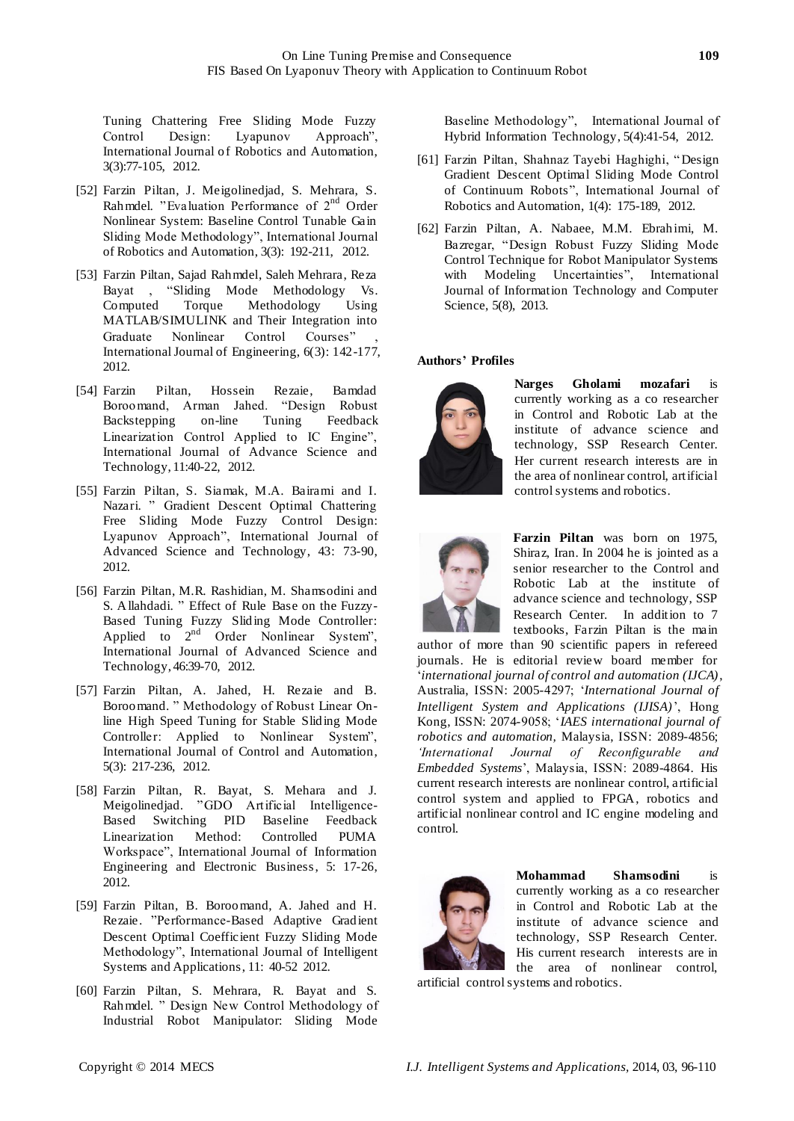Tuning Chattering Free Sliding Mode Fuzzy Control Design: Lyapunov Approach", International Journal of Robotics and Automation, 3(3):77-105, 2012.

- [52] Farzin Piltan, J. Meigolinedjad, S. Mehrara, S. Rahmdel. "Evaluation Performance of  $2<sup>nd</sup>$  Order Nonlinear System: Baseline Control Tunable Gain Sliding Mode Methodology", International Journal of Robotics and Automation, 3(3): 192-211, 2012.
- [53] Farzin Piltan, Sajad Rahmdel, Saleh Mehrara, Reza Bayat , "Sliding Mode Methodology Vs. Computed Torque Methodology Using MATLAB/SIMULINK and Their Integration into Graduate Nonlinear Control Courses" International Journal of Engineering, 6(3): 142-177, 2012.
- [54] Farzin Piltan, Hossein Rezaie, Bamdad Boroomand, Arman Jahed. Backstepping on-line Tuning Feedback Linearization Control Applied to IC Engine", International Journal of Advance Science and Technology, 11:40-22, 2012.
- [55] Farzin Piltan, S. Siamak, M.A. Bairami and I. Nazari. " Gradient Descent Optimal Chattering Free Sliding Mode Fuzzy Control Design: Lyapunov Approach", International Journal of Advanced Science and Technology, 43: 73-90, 2012.
- [56] Farzin Piltan, M.R. Rashidian, M. Shamsodini and S. Allahdadi. " Effect of Rule Base on the Fuzzy-Based Tuning Fuzzy Sliding Mode Controller: Applied to  $2^{nd}$  Order Nonlinear System", International Journal of Advanced Science and Technology, 46:39-70, 2012.
- [57] Farzin Piltan, A. Jahed, H. Rezaie and B. Boroomand. "Methodology of Robust Linear Online High Speed Tuning for Stable Sliding Mode Controller: Applied to Nonlinear System", International Journal of Control and Automation, 5(3): 217-236, 2012.
- [58] Farzin Piltan, R. Bayat, S. Mehara and J. Meigolinedjad. "GDO Artificial Intelligence-Based Switching PID Baseline Feedback Linearization Method: Controlled PUMA Workspace‖, International Journal of Information Engineering and Electronic Business, 5: 17-26, 2012.
- [59] Farzin Piltan, B. Boroomand, A. Jahed and H. Rezaie. "Performance-Based Adaptive Gradient Descent Optimal Coefficient Fuzzy Sliding Mode Methodology", International Journal of Intelligent Systems and Applications, 11: 40-52 2012.
- [60] Farzin Piltan, S. Mehrara, R. Bayat and S. Rahmdel. " Design New Control Methodology of Industrial Robot Manipulator: Sliding Mode

Baseline Methodology", International Journal of Hybrid Information Technology, 5(4):41-54, 2012.

- [61] Farzin Piltan, Shahnaz Tayebi Haghighi, "Design Gradient Descent Optimal Sliding Mode Control of Continuum Robots", International Journal of Robotics and Automation, 1(4): 175-189, 2012.
- [62] Farzin Piltan, A. Nabaee, M.M. Ebrahimi, M. Bazregar, "Design Robust Fuzzy Sliding Mode Control Technique for Robot Manipulator Systems with Modeling Uncertainties", International Journal of Information Technology and Computer Science, 5(8), 2013.

# **Authors' Profiles**



**Narges Gholami mozafari** is currently working as a co researcher in Control and Robotic Lab at the institute of advance science and technology, SSP Research Center. Her current research interests are in the area of nonlinear control, artificial control systems and robotics.



**Farzin Piltan** was born on 1975, Shiraz, Iran. In 2004 he is jointed as a senior researcher to the Control and Robotic Lab at the institute of advance science and technology, SSP Research Center. In addition to 7 textbooks, Farzin Piltan is the main

author of more than 90 scientific papers in refereed journals. He is editorial review board member for ‗*international journal of control and automation (IJCA)*, Australia, ISSN: 2005-4297; ‗*International Journal of Intelligent System and Applications (IJISA)*', Hong Kong, ISSN: 2074-9058; ‗*IAES international journal of robotics and automation,* Malaysia, ISSN: 2089-4856; *'International Journal of Reconfigurable and Embedded Systems*', Malaysia, ISSN: 2089-4864. His current research interests are nonlinear control, artificial control system and applied to FPGA, robotics and artificial nonlinear control and IC engine modeling and control.



**Mohammad Shamsodini** is currently working as a co researcher in Control and Robotic Lab at the institute of advance science and technology, SSP Research Center. His current research interests are in the area of nonlinear control,

artificial control systems and robotics.